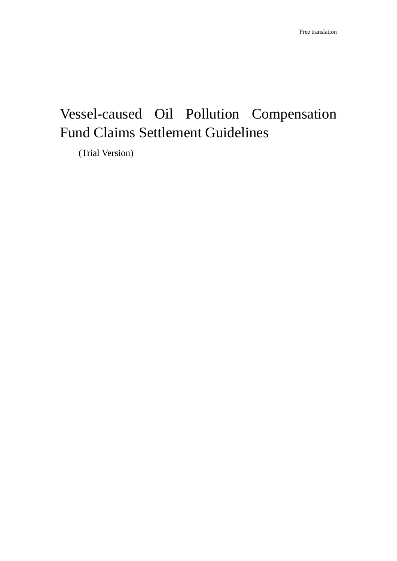# Vessel-caused Oil Pollution Compensation Fund Claims Settlement Guidelines

(Trial Version)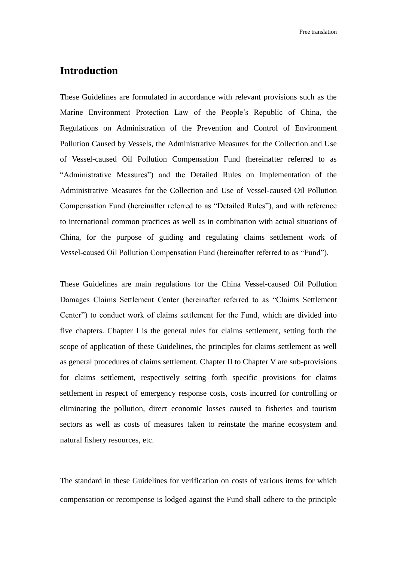## <span id="page-1-0"></span>**Introduction**

These Guidelines are formulated in accordance with relevant provisions such as the Marine Environment Protection Law of the People's Republic of China, the Regulations on Administration of the Prevention and Control of Environment Pollution Caused by Vessels, the Administrative Measures for the Collection and Use of Vessel-caused Oil Pollution Compensation Fund (hereinafter referred to as "Administrative Measures") and the Detailed Rules on Implementation of the Administrative Measures for the Collection and Use of Vessel-caused Oil Pollution Compensation Fund (hereinafter referred to as "Detailed Rules"), and with reference to international common practices as well as in combination with actual situations of China, for the purpose of guiding and regulating claims settlement work of Vessel-caused Oil Pollution Compensation Fund (hereinafter referred to as "Fund").

These Guidelines are main regulations for the China Vessel-caused Oil Pollution Damages Claims Settlement Center (hereinafter referred to as "Claims Settlement Center") to conduct work of claims settlement for the Fund, which are divided into five chapters. Chapter I is the general rules for claims settlement, setting forth the scope of application of these Guidelines, the principles for claims settlement as well as general procedures of claims settlement. Chapter II to Chapter V are sub-provisions for claims settlement, respectively setting forth specific provisions for claims settlement in respect of emergency response costs, costs incurred for controlling or eliminating the pollution, direct economic losses caused to fisheries and tourism sectors as well as costs of measures taken to reinstate the marine ecosystem and natural fishery resources, etc.

The standard in these Guidelines for verification on costs of various items for which compensation or recompense is lodged against the Fund shall adhere to the principle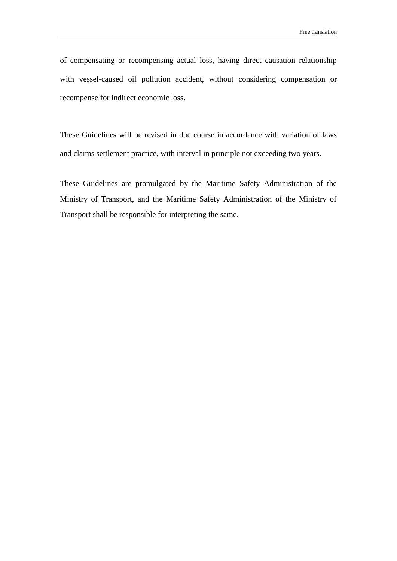of compensating or recompensing actual loss, having direct causation relationship with vessel-caused oil pollution accident, without considering compensation or recompense for indirect economic loss.

These Guidelines will be revised in due course in accordance with variation of laws and claims settlement practice, with interval in principle not exceeding two years.

These Guidelines are promulgated by the Maritime Safety Administration of the Ministry of Transport, and the Maritime Safety Administration of the Ministry of Transport shall be responsible for interpreting the same.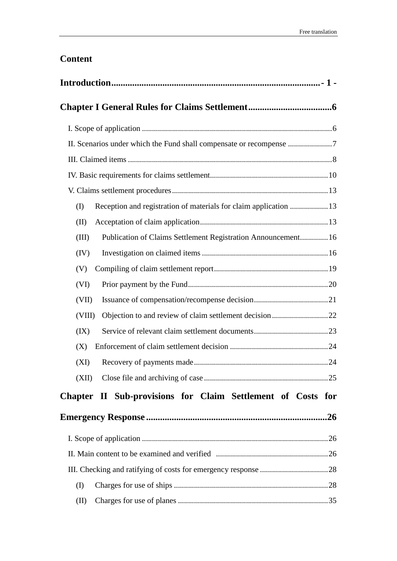## **Content**

| Reception and registration of materials for claim application  13<br>(I) |  |
|--------------------------------------------------------------------------|--|
| (II)                                                                     |  |
| Publication of Claims Settlement Registration Announcement 16<br>(III)   |  |
| (IV)                                                                     |  |
| (V)                                                                      |  |
| (VI)                                                                     |  |
| (VII)                                                                    |  |
| (VIII)                                                                   |  |
| (IX)                                                                     |  |
| (X)                                                                      |  |
| (XI)                                                                     |  |
|                                                                          |  |
| Chapter II Sub-provisions for Claim Settlement of Costs for              |  |
|                                                                          |  |
|                                                                          |  |
|                                                                          |  |
|                                                                          |  |
| (I)                                                                      |  |
| (II)                                                                     |  |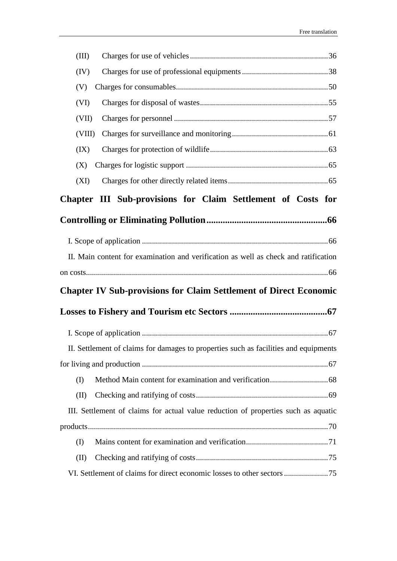| (III)  |                                                                                      |
|--------|--------------------------------------------------------------------------------------|
| (IV)   |                                                                                      |
| (V)    |                                                                                      |
| (VI)   |                                                                                      |
| (VII)  |                                                                                      |
| (VIII) |                                                                                      |
| (IX)   |                                                                                      |
| (X)    |                                                                                      |
| (XI)   |                                                                                      |
|        | Chapter III Sub-provisions for Claim Settlement of Costs for                         |
|        |                                                                                      |
|        |                                                                                      |
|        | II. Main content for examination and verification as well as check and ratification  |
|        |                                                                                      |
|        | <b>Chapter IV Sub-provisions for Claim Settlement of Direct Economic</b>             |
|        |                                                                                      |
|        |                                                                                      |
|        | II. Settlement of claims for damages to properties such as facilities and equipments |
|        |                                                                                      |
| (I)    |                                                                                      |
|        |                                                                                      |
| (II)   |                                                                                      |
|        | III. Settlement of claims for actual value reduction of properties such as aquatic   |
|        |                                                                                      |
| (I)    |                                                                                      |
| (II)   |                                                                                      |
|        |                                                                                      |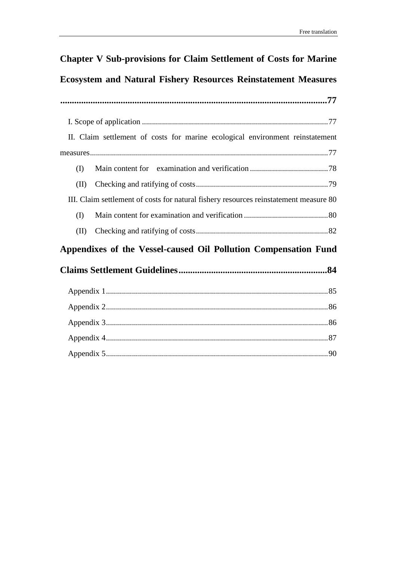# **[Chapter V Sub-provisions for Claim Settlement of Costs for Marine](#page-77-0)  [Ecosystem and Natural Fishery Resources Reinstatement Measures](#page-77-0) [...................................................................................................................77](#page-77-0)** I. Scope of application [.............................................................................................77](#page-77-1) [II. Claim settlement of costs for marine ecological environment reinstatement](#page-77-2)  [measures.......................................................................................................................77](#page-77-2) (I) [Main content for examination and verification](#page-78-0) .......................................78 (II) [Checking and ratifying of costs..................................................................79](#page-79-0) [III. Claim settlement of costs for natural fishery resources reinstatement measure](#page-80-0) 80 (I) [Main content for examination and verification](#page-80-1) ..........................................80 (II) [Checking and ratifying of costs..................................................................82](#page-82-0)

## **[Appendixes of the Vessel-caused Oil Pollution Compensation Fund](#page-84-0)**

## **[Claims Settlement Guidelines................................................................84](#page-84-0)**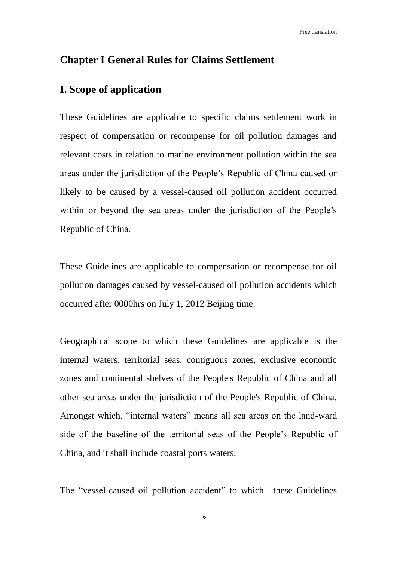## <span id="page-6-0"></span>**Chapter I General Rules for Claims Settlement**

## <span id="page-6-1"></span>**I. Scope of application**

These Guidelines are applicable to specific claims settlement work in respect of compensation or recompense for oil pollution damages and relevant costs in relation to marine environment pollution within the sea areas under the jurisdiction of the People's Republic of China caused or likely to be caused by a vessel-caused oil pollution accident occurred within or beyond the sea areas under the jurisdiction of the People's Republic of China.

These Guidelines are applicable to compensation or recompense for oil pollution damages caused by vessel-caused oil pollution accidents which occurred after 0000hrs on July 1, 2012 Beijing time.

Geographical scope to which these Guidelines are applicable is the internal waters, territorial seas, contiguous zones, exclusive economic zones and continental shelves of the People's Republic of China and all other sea areas under the jurisdiction of the People's Republic of China. Amongst which, "internal waters" means all sea areas on the land-ward side of the baseline of the territorial seas of the People's Republic of China, and it shall include coastal ports waters.

The "vessel-caused oil pollution accident" to which these Guidelines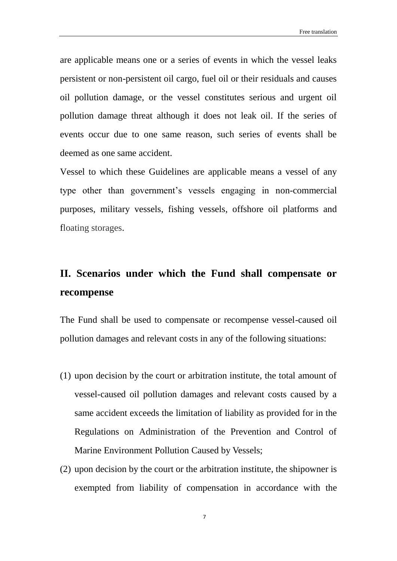are applicable means one or a series of events in which the vessel leaks persistent or non-persistent oil cargo, fuel oil or their residuals and causes oil pollution damage, or the vessel constitutes serious and urgent oil pollution damage threat although it does not leak oil. If the series of events occur due to one same reason, such series of events shall be deemed as one same accident.

Vessel to which these Guidelines are applicable means a vessel of any type other than government's vessels engaging in non-commercial purposes, military vessels, fishing vessels, offshore oil platforms and floating storages.

## <span id="page-7-0"></span>**II. Scenarios under which the Fund shall compensate or recompense**

The Fund shall be used to compensate or recompense vessel-caused oil pollution damages and relevant costs in any of the following situations:

- (1) upon decision by the court or arbitration institute, the total amount of vessel-caused oil pollution damages and relevant costs caused by a same accident exceeds the limitation of liability as provided for in the Regulations on Administration of the Prevention and Control of Marine Environment Pollution Caused by Vessels;
- (2) upon decision by the court or the arbitration institute, the shipowner is exempted from liability of compensation in accordance with the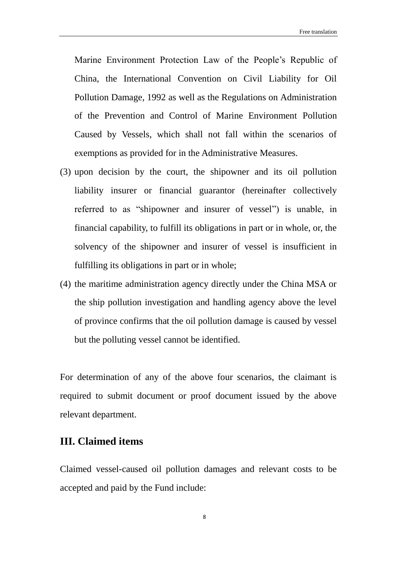Marine Environment Protection Law of the People's Republic of China, the International Convention on Civil Liability for Oil Pollution Damage, 1992 as well as the Regulations on Administration of the Prevention and Control of Marine Environment Pollution Caused by Vessels, which shall not fall within the scenarios of exemptions as provided for in the Administrative Measures.

- (3) upon decision by the court, the shipowner and its oil pollution liability insurer or financial guarantor (hereinafter collectively referred to as "shipowner and insurer of vessel") is unable, in financial capability, to fulfill its obligations in part or in whole, or, the solvency of the shipowner and insurer of vessel is insufficient in fulfilling its obligations in part or in whole;
- (4) the maritime administration agency directly under the China MSA or the ship pollution investigation and handling agency above the level of province confirms that the oil pollution damage is caused by vessel but the polluting vessel cannot be identified.

For determination of any of the above four scenarios, the claimant is required to submit document or proof document issued by the above relevant department.

## <span id="page-8-0"></span>**III. Claimed items**

Claimed vessel-caused oil pollution damages and relevant costs to be accepted and paid by the Fund include: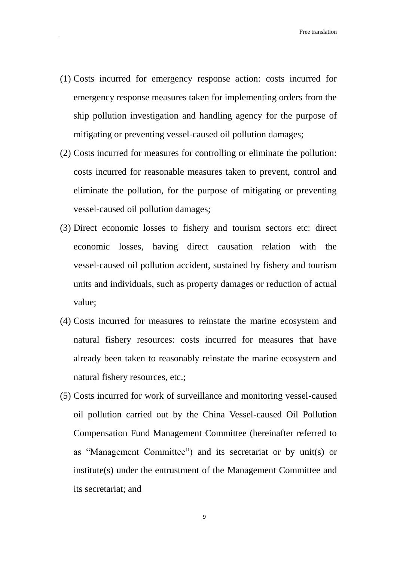- (1) Costs incurred for emergency response action: costs incurred for emergency response measures taken for implementing orders from the ship pollution investigation and handling agency for the purpose of mitigating or preventing vessel-caused oil pollution damages;
- (2) Costs incurred for measures for controlling or eliminate the pollution: costs incurred for reasonable measures taken to prevent, control and eliminate the pollution, for the purpose of mitigating or preventing vessel-caused oil pollution damages;
- (3) Direct economic losses to fishery and tourism sectors etc: direct economic losses, having direct causation relation with the vessel-caused oil pollution accident, sustained by fishery and tourism units and individuals, such as property damages or reduction of actual value;
- (4) Costs incurred for measures to reinstate the marine ecosystem and natural fishery resources: costs incurred for measures that have already been taken to reasonably reinstate the marine ecosystem and natural fishery resources, etc.;
- (5) Costs incurred for work of surveillance and monitoring vessel-caused oil pollution carried out by the China Vessel-caused Oil Pollution Compensation Fund Management Committee (hereinafter referred to as "Management Committee") and its secretariat or by unit(s) or institute(s) under the entrustment of the Management Committee and its secretariat; and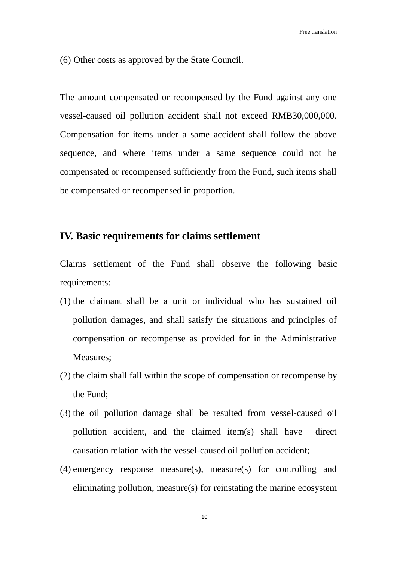(6) Other costs as approved by the State Council.

The amount compensated or recompensed by the Fund against any one vessel-caused oil pollution accident shall not exceed RMB30,000,000. Compensation for items under a same accident shall follow the above sequence, and where items under a same sequence could not be compensated or recompensed sufficiently from the Fund, such items shall be compensated or recompensed in proportion.

### <span id="page-10-0"></span>**IV. Basic requirements for claims settlement**

Claims settlement of the Fund shall observe the following basic requirements:

- (1) the claimant shall be a unit or individual who has sustained oil pollution damages, and shall satisfy the situations and principles of compensation or recompense as provided for in the Administrative Measures;
- (2) the claim shall fall within the scope of compensation or recompense by the Fund;
- (3) the oil pollution damage shall be resulted from vessel-caused oil pollution accident, and the claimed item(s) shall have direct causation relation with the vessel-caused oil pollution accident;
- (4) emergency response measure(s), measure(s) for controlling and eliminating pollution, measure(s) for reinstating the marine ecosystem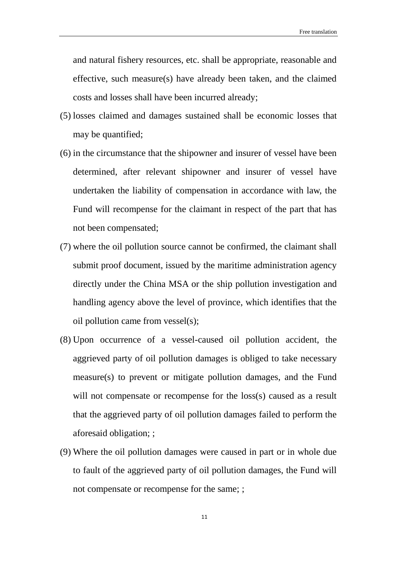and natural fishery resources, etc. shall be appropriate, reasonable and effective, such measure(s) have already been taken, and the claimed costs and losses shall have been incurred already;

- (5) losses claimed and damages sustained shall be economic losses that may be quantified;
- (6) in the circumstance that the shipowner and insurer of vessel have been determined, after relevant shipowner and insurer of vessel have undertaken the liability of compensation in accordance with law, the Fund will recompense for the claimant in respect of the part that has not been compensated;
- (7) where the oil pollution source cannot be confirmed, the claimant shall submit proof document, issued by the maritime administration agency directly under the China MSA or the ship pollution investigation and handling agency above the level of province, which identifies that the oil pollution came from vessel(s);
- (8) Upon occurrence of a vessel-caused oil pollution accident, the aggrieved party of oil pollution damages is obliged to take necessary measure(s) to prevent or mitigate pollution damages, and the Fund will not compensate or recompense for the loss(s) caused as a result that the aggrieved party of oil pollution damages failed to perform the aforesaid obligation; ;
- (9) Where the oil pollution damages were caused in part or in whole due to fault of the aggrieved party of oil pollution damages, the Fund will not compensate or recompense for the same; ;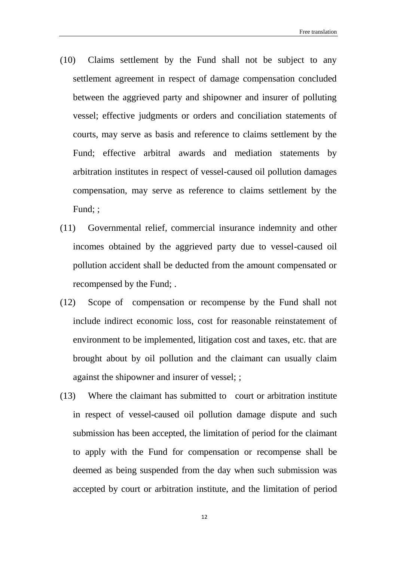- (10) Claims settlement by the Fund shall not be subject to any settlement agreement in respect of damage compensation concluded between the aggrieved party and shipowner and insurer of polluting vessel; effective judgments or orders and conciliation statements of courts, may serve as basis and reference to claims settlement by the Fund; effective arbitral awards and mediation statements by arbitration institutes in respect of vessel-caused oil pollution damages compensation, may serve as reference to claims settlement by the Fund; ;
- (11) Governmental relief, commercial insurance indemnity and other incomes obtained by the aggrieved party due to vessel-caused oil pollution accident shall be deducted from the amount compensated or recompensed by the Fund; .
- (12) Scope of compensation or recompense by the Fund shall not include indirect economic loss, cost for reasonable reinstatement of environment to be implemented, litigation cost and taxes, etc. that are brought about by oil pollution and the claimant can usually claim against the shipowner and insurer of vessel; ;
- (13) Where the claimant has submitted to court or arbitration institute in respect of vessel-caused oil pollution damage dispute and such submission has been accepted, the limitation of period for the claimant to apply with the Fund for compensation or recompense shall be deemed as being suspended from the day when such submission was accepted by court or arbitration institute, and the limitation of period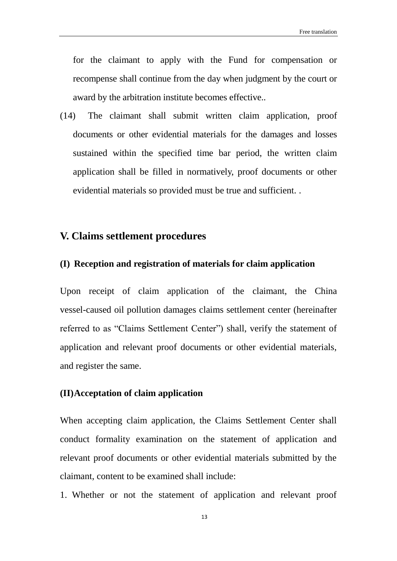for the claimant to apply with the Fund for compensation or recompense shall continue from the day when judgment by the court or award by the arbitration institute becomes effective..

(14) The claimant shall submit written claim application, proof documents or other evidential materials for the damages and losses sustained within the specified time bar period, the written claim application shall be filled in normatively, proof documents or other evidential materials so provided must be true and sufficient. .

### <span id="page-13-0"></span>**V. Claims settlement procedures**

#### <span id="page-13-1"></span>**(I) Reception and registration of materials for claim application**

Upon receipt of claim application of the claimant, the China vessel-caused oil pollution damages claims settlement center (hereinafter referred to as "Claims Settlement Center") shall, verify the statement of application and relevant proof documents or other evidential materials, and register the same.

#### <span id="page-13-2"></span>**(II)Acceptation of claim application**

When accepting claim application, the Claims Settlement Center shall conduct formality examination on the statement of application and relevant proof documents or other evidential materials submitted by the claimant, content to be examined shall include:

1. Whether or not the statement of application and relevant proof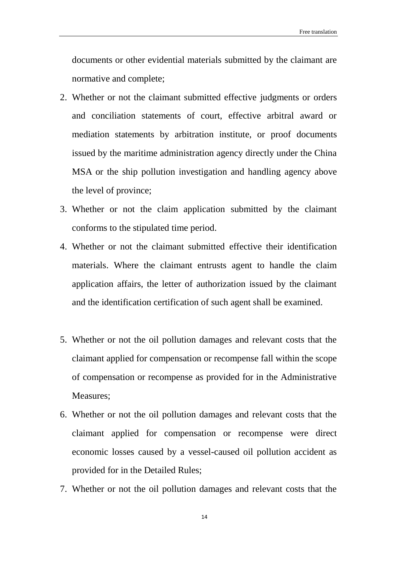documents or other evidential materials submitted by the claimant are normative and complete;

- 2. Whether or not the claimant submitted effective judgments or orders and conciliation statements of court, effective arbitral award or mediation statements by arbitration institute, or proof documents issued by the maritime administration agency directly under the China MSA or the ship pollution investigation and handling agency above the level of province;
- 3. Whether or not the claim application submitted by the claimant conforms to the stipulated time period.
- 4. Whether or not the claimant submitted effective their identification materials. Where the claimant entrusts agent to handle the claim application affairs, the letter of authorization issued by the claimant and the identification certification of such agent shall be examined.
- 5. Whether or not the oil pollution damages and relevant costs that the claimant applied for compensation or recompense fall within the scope of compensation or recompense as provided for in the Administrative Measures;
- 6. Whether or not the oil pollution damages and relevant costs that the claimant applied for compensation or recompense were direct economic losses caused by a vessel-caused oil pollution accident as provided for in the Detailed Rules;
- 7. Whether or not the oil pollution damages and relevant costs that the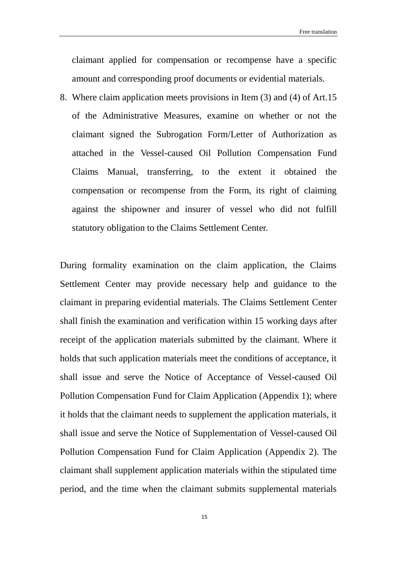claimant applied for compensation or recompense have a specific amount and corresponding proof documents or evidential materials.

8. Where claim application meets provisions in Item (3) and (4) of Art.15 of the Administrative Measures, examine on whether or not the claimant signed the Subrogation Form/Letter of Authorization as attached in the Vessel-caused Oil Pollution Compensation Fund Claims Manual, transferring, to the extent it obtained the compensation or recompense from the Form, its right of claiming against the shipowner and insurer of vessel who did not fulfill statutory obligation to the Claims Settlement Center.

During formality examination on the claim application, the Claims Settlement Center may provide necessary help and guidance to the claimant in preparing evidential materials. The Claims Settlement Center shall finish the examination and verification within 15 working days after receipt of the application materials submitted by the claimant. Where it holds that such application materials meet the conditions of acceptance, it shall issue and serve the Notice of Acceptance of Vessel-caused Oil Pollution Compensation Fund for Claim Application (Appendix 1); where it holds that the claimant needs to supplement the application materials, it shall issue and serve the Notice of Supplementation of Vessel-caused Oil Pollution Compensation Fund for Claim Application (Appendix 2). The claimant shall supplement application materials within the stipulated time period, and the time when the claimant submits supplemental materials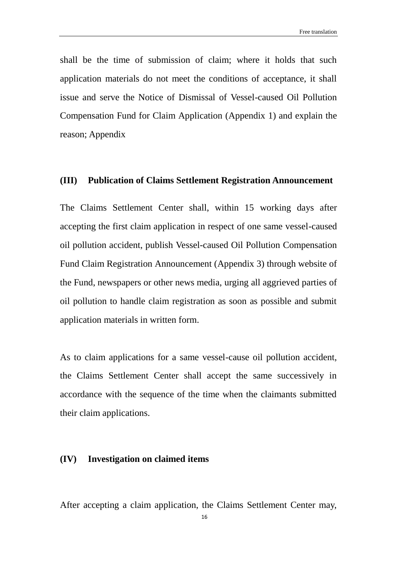shall be the time of submission of claim; where it holds that such application materials do not meet the conditions of acceptance, it shall issue and serve the Notice of Dismissal of Vessel-caused Oil Pollution Compensation Fund for Claim Application (Appendix 1) and explain the reason; Appendix

#### <span id="page-16-0"></span>**(III) Publication of Claims Settlement Registration Announcement**

The Claims Settlement Center shall, within 15 working days after accepting the first claim application in respect of one same vessel-caused oil pollution accident, publish Vessel-caused Oil Pollution Compensation Fund Claim Registration Announcement (Appendix 3) through website of the Fund, newspapers or other news media, urging all aggrieved parties of oil pollution to handle claim registration as soon as possible and submit application materials in written form.

As to claim applications for a same vessel-cause oil pollution accident, the Claims Settlement Center shall accept the same successively in accordance with the sequence of the time when the claimants submitted their claim applications.

#### <span id="page-16-1"></span>**(IV) Investigation on claimed items**

After accepting a claim application, the Claims Settlement Center may,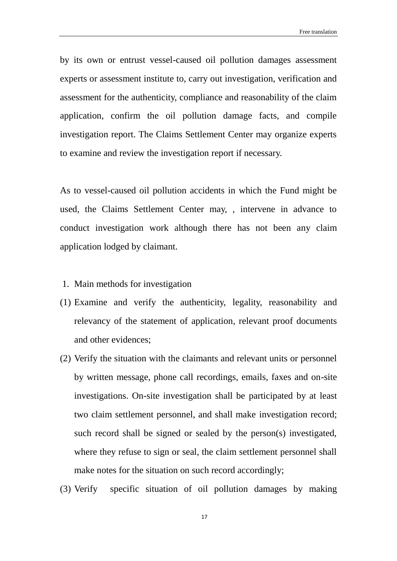by its own or entrust vessel-caused oil pollution damages assessment experts or assessment institute to, carry out investigation, verification and assessment for the authenticity, compliance and reasonability of the claim application, confirm the oil pollution damage facts, and compile investigation report. The Claims Settlement Center may organize experts to examine and review the investigation report if necessary.

As to vessel-caused oil pollution accidents in which the Fund might be used, the Claims Settlement Center may, , intervene in advance to conduct investigation work although there has not been any claim application lodged by claimant.

- 1. Main methods for investigation
- (1) Examine and verify the authenticity, legality, reasonability and relevancy of the statement of application, relevant proof documents and other evidences;
- (2) Verify the situation with the claimants and relevant units or personnel by written message, phone call recordings, emails, faxes and on-site investigations. On-site investigation shall be participated by at least two claim settlement personnel, and shall make investigation record; such record shall be signed or sealed by the person(s) investigated, where they refuse to sign or seal, the claim settlement personnel shall make notes for the situation on such record accordingly;
- (3) Verify specific situation of oil pollution damages by making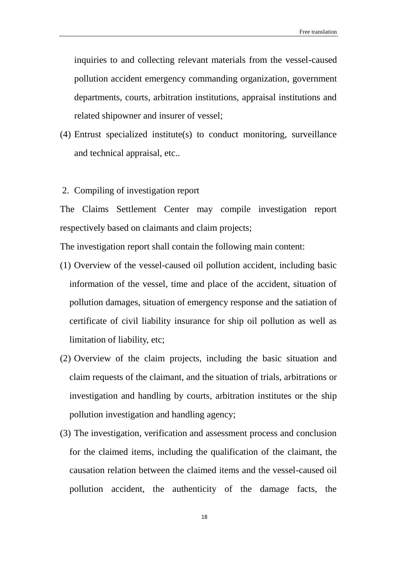inquiries to and collecting relevant materials from the vessel-caused pollution accident emergency commanding organization, government departments, courts, arbitration institutions, appraisal institutions and related shipowner and insurer of vessel;

- (4) Entrust specialized institute(s) to conduct monitoring, surveillance and technical appraisal, etc..
- 2. Compiling of investigation report

The Claims Settlement Center may compile investigation report respectively based on claimants and claim projects;

The investigation report shall contain the following main content:

- (1) Overview of the vessel-caused oil pollution accident, including basic information of the vessel, time and place of the accident, situation of pollution damages, situation of emergency response and the satiation of certificate of civil liability insurance for ship oil pollution as well as limitation of liability, etc;
- (2) Overview of the claim projects, including the basic situation and claim requests of the claimant, and the situation of trials, arbitrations or investigation and handling by courts, arbitration institutes or the ship pollution investigation and handling agency;
- (3) The investigation, verification and assessment process and conclusion for the claimed items, including the qualification of the claimant, the causation relation between the claimed items and the vessel-caused oil pollution accident, the authenticity of the damage facts, the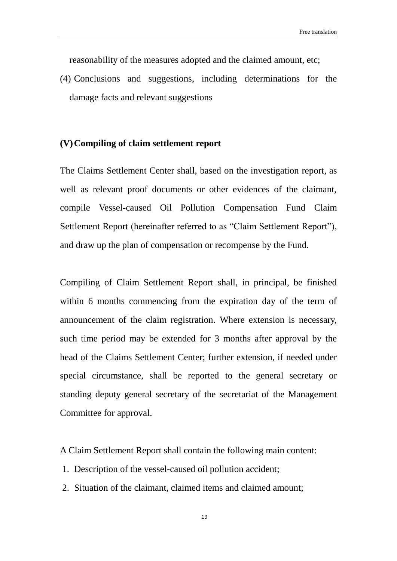reasonability of the measures adopted and the claimed amount, etc;

(4) Conclusions and suggestions, including determinations for the damage facts and relevant suggestions

#### <span id="page-19-0"></span>**(V)Compiling of claim settlement report**

The Claims Settlement Center shall, based on the investigation report, as well as relevant proof documents or other evidences of the claimant, compile Vessel-caused Oil Pollution Compensation Fund Claim Settlement Report (hereinafter referred to as "Claim Settlement Report"), and draw up the plan of compensation or recompense by the Fund.

Compiling of Claim Settlement Report shall, in principal, be finished within 6 months commencing from the expiration day of the term of announcement of the claim registration. Where extension is necessary, such time period may be extended for 3 months after approval by the head of the Claims Settlement Center; further extension, if needed under special circumstance, shall be reported to the general secretary or standing deputy general secretary of the secretariat of the Management Committee for approval.

A Claim Settlement Report shall contain the following main content:

- 1. Description of the vessel-caused oil pollution accident;
- 2. Situation of the claimant, claimed items and claimed amount;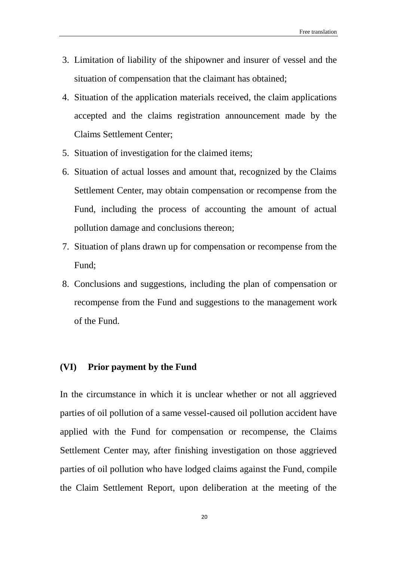- 3. Limitation of liability of the shipowner and insurer of vessel and the situation of compensation that the claimant has obtained;
- 4. Situation of the application materials received, the claim applications accepted and the claims registration announcement made by the Claims Settlement Center;
- 5. Situation of investigation for the claimed items;
- 6. Situation of actual losses and amount that, recognized by the Claims Settlement Center, may obtain compensation or recompense from the Fund, including the process of accounting the amount of actual pollution damage and conclusions thereon;
- 7. Situation of plans drawn up for compensation or recompense from the Fund;
- 8. Conclusions and suggestions, including the plan of compensation or recompense from the Fund and suggestions to the management work of the Fund.

#### <span id="page-20-0"></span>**(VI) Prior payment by the Fund**

In the circumstance in which it is unclear whether or not all aggrieved parties of oil pollution of a same vessel-caused oil pollution accident have applied with the Fund for compensation or recompense, the Claims Settlement Center may, after finishing investigation on those aggrieved parties of oil pollution who have lodged claims against the Fund, compile the Claim Settlement Report, upon deliberation at the meeting of the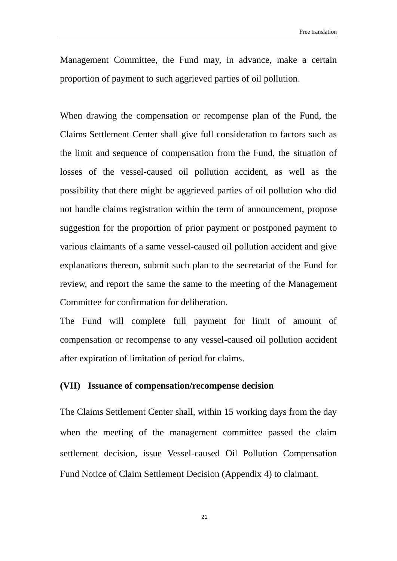Management Committee, the Fund may, in advance, make a certain proportion of payment to such aggrieved parties of oil pollution.

When drawing the compensation or recompense plan of the Fund, the Claims Settlement Center shall give full consideration to factors such as the limit and sequence of compensation from the Fund, the situation of losses of the vessel-caused oil pollution accident, as well as the possibility that there might be aggrieved parties of oil pollution who did not handle claims registration within the term of announcement, propose suggestion for the proportion of prior payment or postponed payment to various claimants of a same vessel-caused oil pollution accident and give explanations thereon, submit such plan to the secretariat of the Fund for review, and report the same the same to the meeting of the Management Committee for confirmation for deliberation.

The Fund will complete full payment for limit of amount of compensation or recompense to any vessel-caused oil pollution accident after expiration of limitation of period for claims.

#### <span id="page-21-0"></span>**(VII) Issuance of compensation/recompense decision**

The Claims Settlement Center shall, within 15 working days from the day when the meeting of the management committee passed the claim settlement decision, issue Vessel-caused Oil Pollution Compensation Fund Notice of Claim Settlement Decision (Appendix 4) to claimant.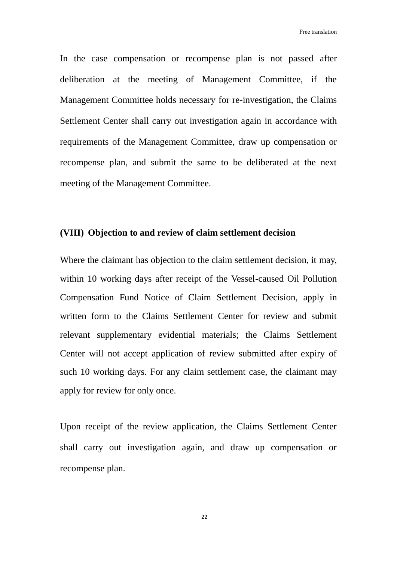In the case compensation or recompense plan is not passed after deliberation at the meeting of Management Committee, if the Management Committee holds necessary for re-investigation, the Claims Settlement Center shall carry out investigation again in accordance with requirements of the Management Committee, draw up compensation or recompense plan, and submit the same to be deliberated at the next meeting of the Management Committee.

### <span id="page-22-0"></span>**(VIII) Objection to and review of claim settlement decision**

Where the claimant has objection to the claim settlement decision, it may, within 10 working days after receipt of the Vessel-caused Oil Pollution Compensation Fund Notice of Claim Settlement Decision, apply in written form to the Claims Settlement Center for review and submit relevant supplementary evidential materials; the Claims Settlement Center will not accept application of review submitted after expiry of such 10 working days. For any claim settlement case, the claimant may apply for review for only once.

Upon receipt of the review application, the Claims Settlement Center shall carry out investigation again, and draw up compensation or recompense plan.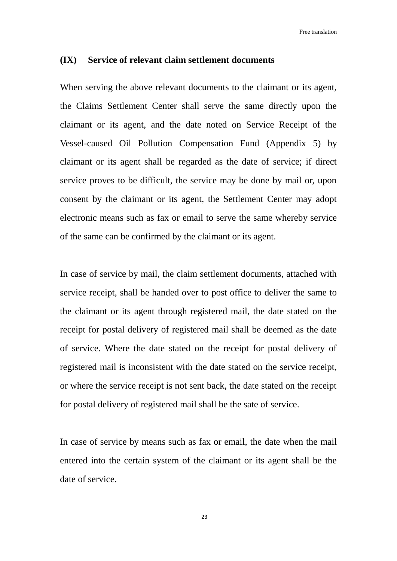#### <span id="page-23-0"></span>**(IX) Service of relevant claim settlement documents**

When serving the above relevant documents to the claimant or its agent, the Claims Settlement Center shall serve the same directly upon the claimant or its agent, and the date noted on Service Receipt of the Vessel-caused Oil Pollution Compensation Fund (Appendix 5) by claimant or its agent shall be regarded as the date of service; if direct service proves to be difficult, the service may be done by mail or, upon consent by the claimant or its agent, the Settlement Center may adopt electronic means such as fax or email to serve the same whereby service of the same can be confirmed by the claimant or its agent.

In case of service by mail, the claim settlement documents, attached with service receipt, shall be handed over to post office to deliver the same to the claimant or its agent through registered mail, the date stated on the receipt for postal delivery of registered mail shall be deemed as the date of service. Where the date stated on the receipt for postal delivery of registered mail is inconsistent with the date stated on the service receipt, or where the service receipt is not sent back, the date stated on the receipt for postal delivery of registered mail shall be the sate of service.

In case of service by means such as fax or email, the date when the mail entered into the certain system of the claimant or its agent shall be the date of service.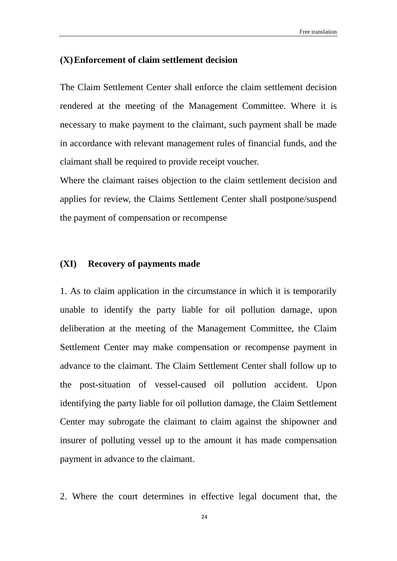#### <span id="page-24-0"></span>**(X)Enforcement of claim settlement decision**

The Claim Settlement Center shall enforce the claim settlement decision rendered at the meeting of the Management Committee. Where it is necessary to make payment to the claimant, such payment shall be made in accordance with relevant management rules of financial funds, and the claimant shall be required to provide receipt voucher.

Where the claimant raises objection to the claim settlement decision and applies for review, the Claims Settlement Center shall postpone/suspend the payment of compensation or recompense

#### <span id="page-24-1"></span>**(XI) Recovery of payments made**

1. As to claim application in the circumstance in which it is temporarily unable to identify the party liable for oil pollution damage, upon deliberation at the meeting of the Management Committee, the Claim Settlement Center may make compensation or recompense payment in advance to the claimant. The Claim Settlement Center shall follow up to the post-situation of vessel-caused oil pollution accident. Upon identifying the party liable for oil pollution damage, the Claim Settlement Center may subrogate the claimant to claim against the shipowner and insurer of polluting vessel up to the amount it has made compensation payment in advance to the claimant.

2. Where the court determines in effective legal document that, the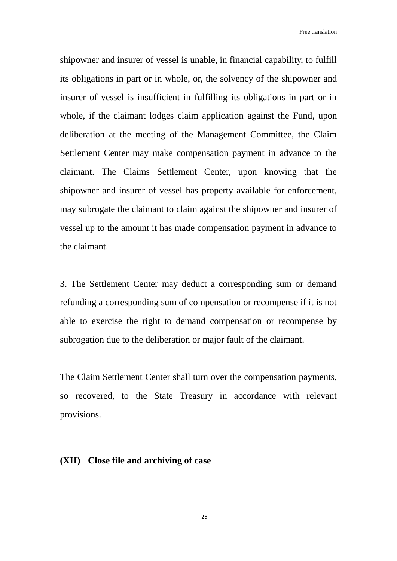Free translation

shipowner and insurer of vessel is unable, in financial capability, to fulfill its obligations in part or in whole, or, the solvency of the shipowner and insurer of vessel is insufficient in fulfilling its obligations in part or in whole, if the claimant lodges claim application against the Fund, upon deliberation at the meeting of the Management Committee, the Claim Settlement Center may make compensation payment in advance to the claimant. The Claims Settlement Center, upon knowing that the shipowner and insurer of vessel has property available for enforcement, may subrogate the claimant to claim against the shipowner and insurer of vessel up to the amount it has made compensation payment in advance to the claimant.

3. The Settlement Center may deduct a corresponding sum or demand refunding a corresponding sum of compensation or recompense if it is not able to exercise the right to demand compensation or recompense by subrogation due to the deliberation or major fault of the claimant.

The Claim Settlement Center shall turn over the compensation payments, so recovered, to the State Treasury in accordance with relevant provisions.

#### <span id="page-25-0"></span>**(XII) Close file and archiving of case**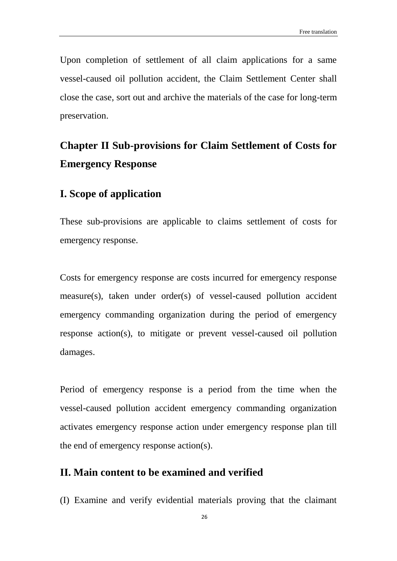Upon completion of settlement of all claim applications for a same vessel-caused oil pollution accident, the Claim Settlement Center shall close the case, sort out and archive the materials of the case for long-term preservation.

## <span id="page-26-0"></span>**Chapter II Sub-provisions for Claim Settlement of Costs for Emergency Response**

## <span id="page-26-1"></span>**I. Scope of application**

These sub-provisions are applicable to claims settlement of costs for emergency response.

Costs for emergency response are costs incurred for emergency response measure(s), taken under order(s) of vessel-caused pollution accident emergency commanding organization during the period of emergency response action(s), to mitigate or prevent vessel-caused oil pollution damages.

Period of emergency response is a period from the time when the vessel-caused pollution accident emergency commanding organization activates emergency response action under emergency response plan till the end of emergency response action(s).

## <span id="page-26-2"></span>**II. Main content to be examined and verified**

(I) Examine and verify evidential materials proving that the claimant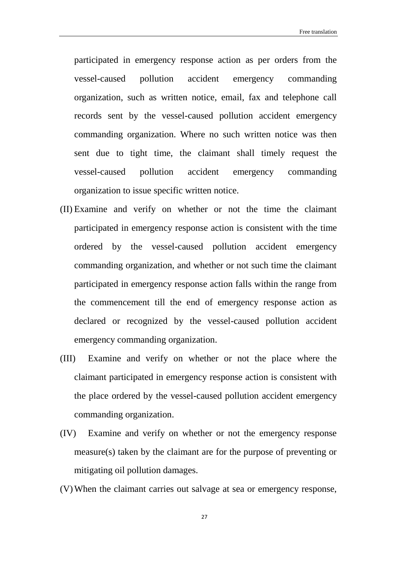participated in emergency response action as per orders from the vessel-caused pollution accident emergency commanding organization, such as written notice, email, fax and telephone call records sent by the vessel-caused pollution accident emergency commanding organization. Where no such written notice was then sent due to tight time, the claimant shall timely request the vessel-caused pollution accident emergency commanding organization to issue specific written notice.

- (II) Examine and verify on whether or not the time the claimant participated in emergency response action is consistent with the time ordered by the vessel-caused pollution accident emergency commanding organization, and whether or not such time the claimant participated in emergency response action falls within the range from the commencement till the end of emergency response action as declared or recognized by the vessel-caused pollution accident emergency commanding organization.
- (III) Examine and verify on whether or not the place where the claimant participated in emergency response action is consistent with the place ordered by the vessel-caused pollution accident emergency commanding organization.
- (IV) Examine and verify on whether or not the emergency response measure(s) taken by the claimant are for the purpose of preventing or mitigating oil pollution damages.
- (V)When the claimant carries out salvage at sea or emergency response,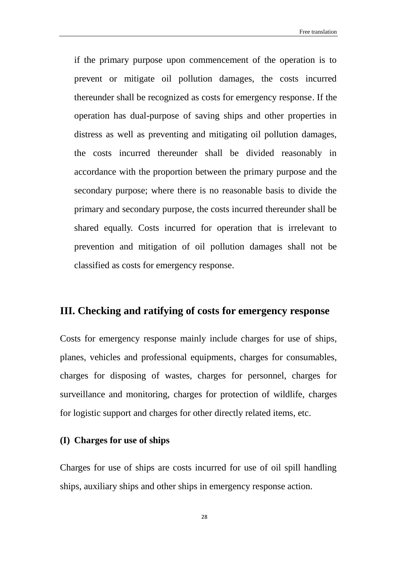if the primary purpose upon commencement of the operation is to prevent or mitigate oil pollution damages, the costs incurred thereunder shall be recognized as costs for emergency response. If the operation has dual-purpose of saving ships and other properties in distress as well as preventing and mitigating oil pollution damages, the costs incurred thereunder shall be divided reasonably in accordance with the proportion between the primary purpose and the secondary purpose; where there is no reasonable basis to divide the primary and secondary purpose, the costs incurred thereunder shall be shared equally. Costs incurred for operation that is irrelevant to prevention and mitigation of oil pollution damages shall not be classified as costs for emergency response.

## <span id="page-28-0"></span>**III. Checking and ratifying of costs for emergency response**

Costs for emergency response mainly include charges for use of ships, planes, vehicles and professional equipments, charges for consumables, charges for disposing of wastes, charges for personnel, charges for surveillance and monitoring, charges for protection of wildlife, charges for logistic support and charges for other directly related items, etc.

#### <span id="page-28-1"></span>**(I) Charges for use of ships**

Charges for use of ships are costs incurred for use of oil spill handling ships, auxiliary ships and other ships in emergency response action.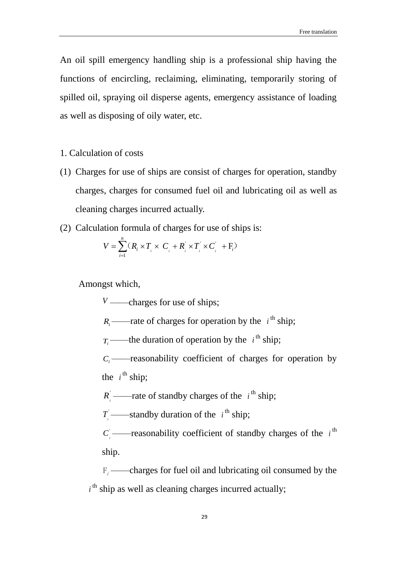An oil spill emergency handling ship is a professional ship having the functions of encircling, reclaiming, eliminating, temporarily storing of spilled oil, spraying oil disperse agents, emergency assistance of loading as well as disposing of oily water, etc.

- 1. Calculation of costs
- (1) Charges for use of ships are consist of charges for operation, standby charges, charges for consumed fuel oil and lubricating oil as well as cleaning charges incurred actually.
- (2) Calculation formula of charges for use of ships is:

$$
V = \sum_{i=1}^{n} (R_i \times T_i \times C_i + R_i \times T_i \times C_i + F_i)
$$

Amongst which,

*V* ——charges for use of ships:

 $R_i$ ——rate of charges for operation by the  $i^{\text{th}}$  ship;

 $T_i$ ——the duration of operation by the  $i^{\text{th}}$  ship;

 $C_i$  ——reasonability coefficient of charges for operation by the  $i^{\text{th}}$  ship;

 $R_i$  ——rate of standby charges of the  $i^{\text{th}}$  ship;

 $T_i$ ——standby duration of the  $i^{\text{th}}$  ship;

 $C_i$  ——reasonability coefficient of standby charges of the  $i$ <sup>th</sup> ship.

 $F_i$  ——charges for fuel oil and lubricating oil consumed by the  $i<sup>th</sup>$  ship as well as cleaning charges incurred actually;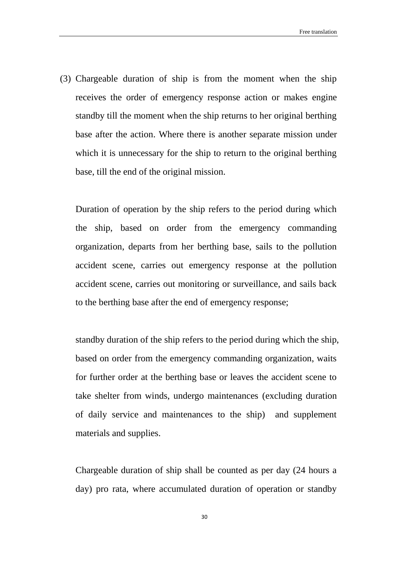(3) Chargeable duration of ship is from the moment when the ship receives the order of emergency response action or makes engine standby till the moment when the ship returns to her original berthing base after the action. Where there is another separate mission under which it is unnecessary for the ship to return to the original berthing base, till the end of the original mission.

Duration of operation by the ship refers to the period during which the ship, based on order from the emergency commanding organization, departs from her berthing base, sails to the pollution accident scene, carries out emergency response at the pollution accident scene, carries out monitoring or surveillance, and sails back to the berthing base after the end of emergency response;

standby duration of the ship refers to the period during which the ship, based on order from the emergency commanding organization, waits for further order at the berthing base or leaves the accident scene to take shelter from winds, undergo maintenances (excluding duration of daily service and maintenances to the ship) and supplement materials and supplies.

Chargeable duration of ship shall be counted as per day (24 hours a day) pro rata, where accumulated duration of operation or standby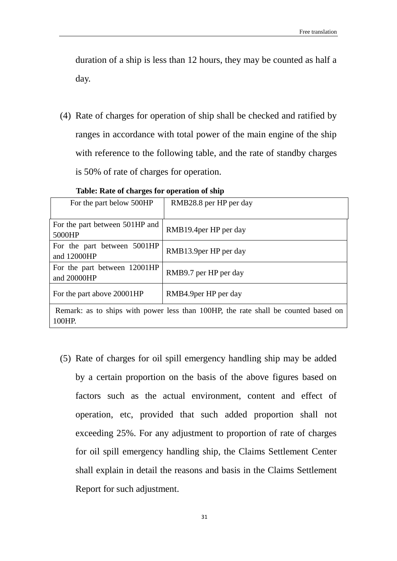duration of a ship is less than 12 hours, they may be counted as half a day.

(4) Rate of charges for operation of ship shall be checked and ratified by ranges in accordance with total power of the main engine of the ship with reference to the following table, and the rate of standby charges is 50% of rate of charges for operation.

| For the part below 500HP                                                                     | RMB28.8 per HP per day |  |
|----------------------------------------------------------------------------------------------|------------------------|--|
| For the part between 501HP and<br>5000HP                                                     | RMB19.4 per HP per day |  |
| For the part between 5001HP<br>and 12000HP                                                   | RMB13.9per HP per day  |  |
| For the part between 12001HP<br>and 20000HP                                                  | RMB9.7 per HP per day  |  |
| For the part above 20001HP                                                                   | RMB4.9per HP per day   |  |
| Remark: as to ships with power less than 100HP, the rate shall be counted based on<br>100HP. |                        |  |

**Table: Rate of charges for operation of ship**

(5) Rate of charges for oil spill emergency handling ship may be added by a certain proportion on the basis of the above figures based on factors such as the actual environment, content and effect of operation, etc, provided that such added proportion shall not exceeding 25%. For any adjustment to proportion of rate of charges for oil spill emergency handling ship, the Claims Settlement Center shall explain in detail the reasons and basis in the Claims Settlement Report for such adjustment.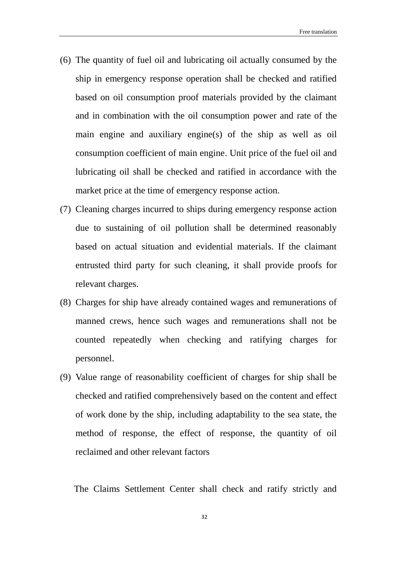- (6) The quantity of fuel oil and lubricating oil actually consumed by the ship in emergency response operation shall be checked and ratified based on oil consumption proof materials provided by the claimant and in combination with the oil consumption power and rate of the main engine and auxiliary engine(s) of the ship as well as oil consumption coefficient of main engine. Unit price of the fuel oil and lubricating oil shall be checked and ratified in accordance with the market price at the time of emergency response action.
- (7) Cleaning charges incurred to ships during emergency response action due to sustaining of oil pollution shall be determined reasonably based on actual situation and evidential materials. If the claimant entrusted third party for such cleaning, it shall provide proofs for relevant charges.
- (8) Charges for ship have already contained wages and remunerations of manned crews, hence such wages and remunerations shall not be counted repeatedly when checking and ratifying charges for personnel.
- (9) Value range of reasonability coefficient of charges for ship shall be checked and ratified comprehensively based on the content and effect of work done by the ship, including adaptability to the sea state, the method of response, the effect of response, the quantity of oil reclaimed and other relevant factors

The Claims Settlement Center shall check and ratify strictly and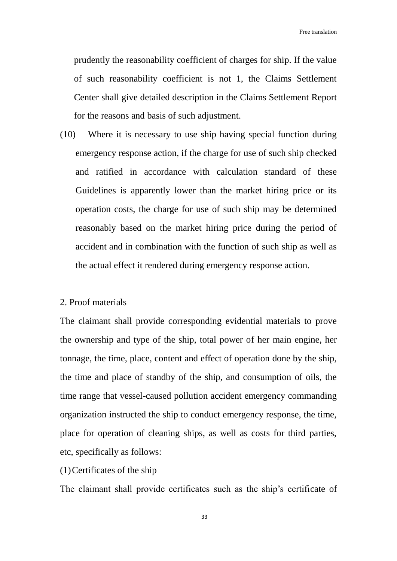prudently the reasonability coefficient of charges for ship. If the value of such reasonability coefficient is not 1, the Claims Settlement Center shall give detailed description in the Claims Settlement Report for the reasons and basis of such adjustment.

(10) Where it is necessary to use ship having special function during emergency response action, if the charge for use of such ship checked and ratified in accordance with calculation standard of these Guidelines is apparently lower than the market hiring price or its operation costs, the charge for use of such ship may be determined reasonably based on the market hiring price during the period of accident and in combination with the function of such ship as well as the actual effect it rendered during emergency response action.

#### 2. Proof materials

The claimant shall provide corresponding evidential materials to prove the ownership and type of the ship, total power of her main engine, her tonnage, the time, place, content and effect of operation done by the ship, the time and place of standby of the ship, and consumption of oils, the time range that vessel-caused pollution accident emergency commanding organization instructed the ship to conduct emergency response, the time, place for operation of cleaning ships, as well as costs for third parties, etc, specifically as follows:

(1)Certificates of the ship

The claimant shall provide certificates such as the ship's certificate of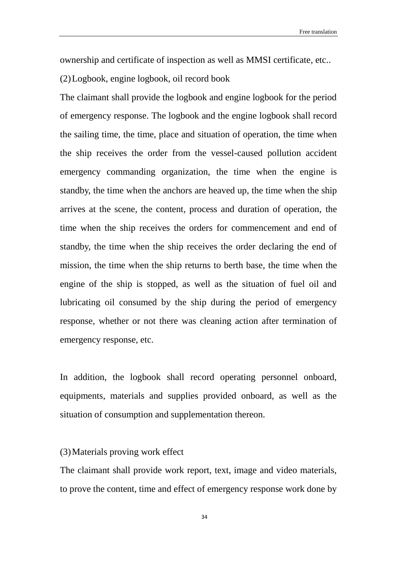ownership and certificate of inspection as well as MMSI certificate, etc..

(2)Logbook, engine logbook, oil record book

The claimant shall provide the logbook and engine logbook for the period of emergency response. The logbook and the engine logbook shall record the sailing time, the time, place and situation of operation, the time when the ship receives the order from the vessel-caused pollution accident emergency commanding organization, the time when the engine is standby, the time when the anchors are heaved up, the time when the ship arrives at the scene, the content, process and duration of operation, the time when the ship receives the orders for commencement and end of standby, the time when the ship receives the order declaring the end of mission, the time when the ship returns to berth base, the time when the engine of the ship is stopped, as well as the situation of fuel oil and lubricating oil consumed by the ship during the period of emergency response, whether or not there was cleaning action after termination of emergency response, etc.

In addition, the logbook shall record operating personnel onboard, equipments, materials and supplies provided onboard, as well as the situation of consumption and supplementation thereon.

#### (3)Materials proving work effect

The claimant shall provide work report, text, image and video materials, to prove the content, time and effect of emergency response work done by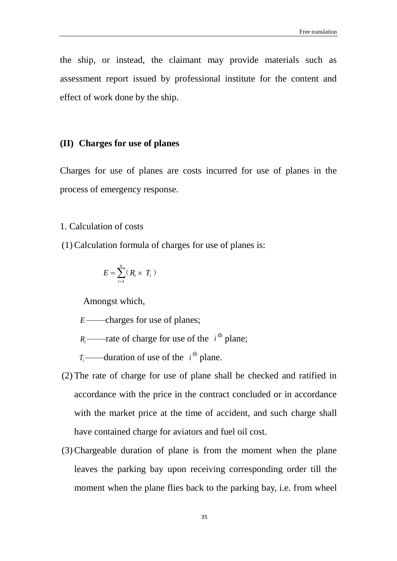the ship, or instead, the claimant may provide materials such as assessment report issued by professional institute for the content and effect of work done by the ship.

#### <span id="page-35-0"></span>**(II) Charges for use of planes**

Charges for use of planes are costs incurred for use of planes in the process of emergency response.

#### 1. Calculation of costs

(1) Calculation formula of charges for use of planes is:

$$
E = \sum_{i=1}^{n} (R_i \times T_i)
$$

Amongst which,

*E* ——charges for use of planes;

 $R_i$ ——rate of charge for use of the  $i^{\text{th}}$  plane;

 $T_i$ ——duration of use of the  $i^{\text{th}}$  plane.

- (2) The rate of charge for use of plane shall be checked and ratified in accordance with the price in the contract concluded or in accordance with the market price at the time of accident, and such charge shall have contained charge for aviators and fuel oil cost.
- (3) Chargeable duration of plane is from the moment when the plane leaves the parking bay upon receiving corresponding order till the moment when the plane flies back to the parking bay, i.e. from wheel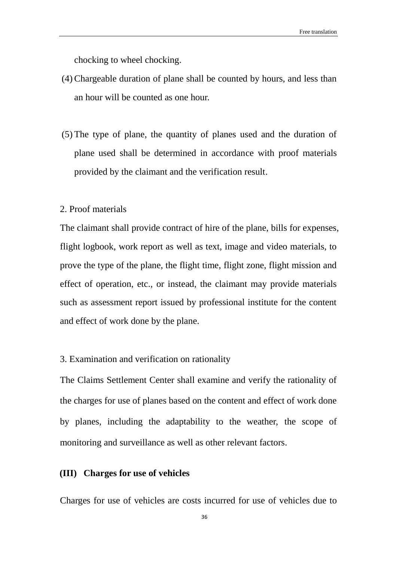chocking to wheel chocking.

- (4) Chargeable duration of plane shall be counted by hours, and less than an hour will be counted as one hour.
- (5) The type of plane, the quantity of planes used and the duration of plane used shall be determined in accordance with proof materials provided by the claimant and the verification result.

# 2. Proof materials

The claimant shall provide contract of hire of the plane, bills for expenses, flight logbook, work report as well as text, image and video materials, to prove the type of the plane, the flight time, flight zone, flight mission and effect of operation, etc., or instead, the claimant may provide materials such as assessment report issued by professional institute for the content and effect of work done by the plane.

#### 3. Examination and verification on rationality

The Claims Settlement Center shall examine and verify the rationality of the charges for use of planes based on the content and effect of work done by planes, including the adaptability to the weather, the scope of monitoring and surveillance as well as other relevant factors.

#### **(III) Charges for use of vehicles**

Charges for use of vehicles are costs incurred for use of vehicles due to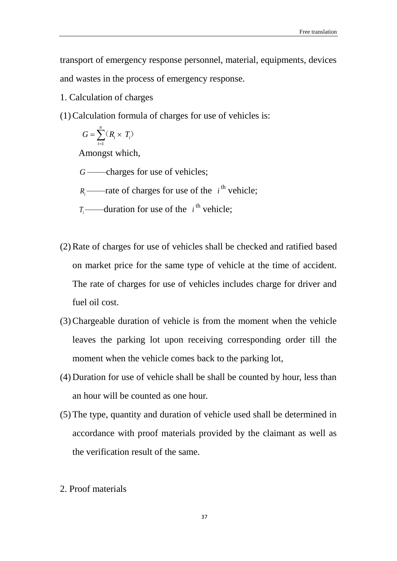transport of emergency response personnel, material, equipments, devices and wastes in the process of emergency response.

- 1. Calculation of charges
- (1)Calculation formula of charges for use of vehicles is:

$$
G = \sum_{i=1}^{n} (R_i \times T_i)
$$

Amongst which,

*G* ——charges for use of vehicles;

 $R_i$ ——rate of charges for use of the  $i^{\text{th}}$  vehicle;

- $T_i$ ——duration for use of the  $i^{\text{th}}$  vehicle;
- (2)Rate of charges for use of vehicles shall be checked and ratified based on market price for the same type of vehicle at the time of accident. The rate of charges for use of vehicles includes charge for driver and fuel oil cost.
- (3)Chargeable duration of vehicle is from the moment when the vehicle leaves the parking lot upon receiving corresponding order till the moment when the vehicle comes back to the parking lot,
- (4) Duration for use of vehicle shall be shall be counted by hour, less than an hour will be counted as one hour.
- (5) The type, quantity and duration of vehicle used shall be determined in accordance with proof materials provided by the claimant as well as the verification result of the same.
- 2. Proof materials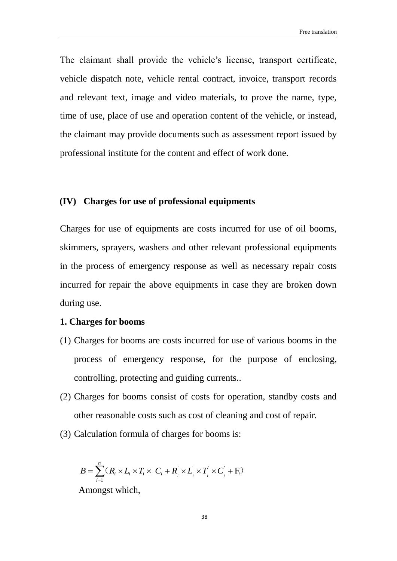Free translation

The claimant shall provide the vehicle's license, transport certificate, vehicle dispatch note, vehicle rental contract, invoice, transport records and relevant text, image and video materials, to prove the name, type, time of use, place of use and operation content of the vehicle, or instead, the claimant may provide documents such as assessment report issued by professional institute for the content and effect of work done.

# **(IV) Charges for use of professional equipments**

Charges for use of equipments are costs incurred for use of oil booms, skimmers, sprayers, washers and other relevant professional equipments in the process of emergency response as well as necessary repair costs incurred for repair the above equipments in case they are broken down during use.

## **1. Charges for booms**

- (1) Charges for booms are costs incurred for use of various booms in the process of emergency response, for the purpose of enclosing, controlling, protecting and guiding currents..
- (2) Charges for booms consist of costs for operation, standby costs and other reasonable costs such as cost of cleaning and cost of repair.
- (3) Calculation formula of charges for booms is:

$$
B = \sum_{i=1}^{n} (R_i \times L_i \times T_i \times C_i + R_i^{'} \times L_i^{'} \times T_i^{'} \times C_i^{'} + F_i^{'} )
$$

Amongst which,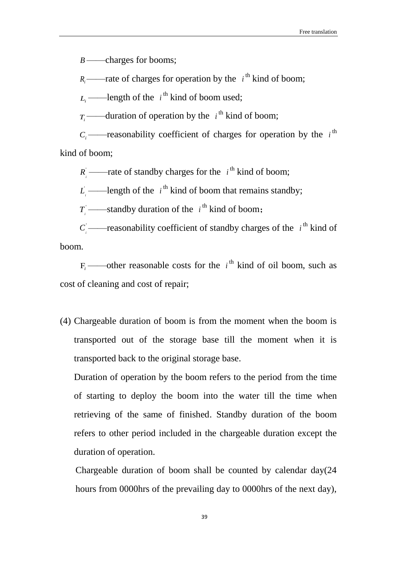*B* ——charges for booms;

 $R_i$ ——rate of charges for operation by the  $i^{\text{th}}$  kind of boom;

 $L_i$  ——length of the  $i^{\text{th}}$  kind of boom used;

 $T_i$ ——duration of operation by the  $i^{\text{th}}$  kind of boom;

 $C_i$ ——reasonability coefficient of charges for operation by the  $i$ <sup>th</sup> kind of boom;

 $R_i$ ——rate of standby charges for the  $i^{\text{th}}$  kind of boom;

 $L_i$  ——length of the  $i^{\text{th}}$  kind of boom that remains standby;

 $T_i$  ——standby duration of the  $i^{\text{th}}$  kind of boom;

 $C_i$ ——reasonability coefficient of standby charges of the  $i^{\text{th}}$  kind of boom.

 $F_i$ ——other reasonable costs for the  $i^{\text{th}}$  kind of oil boom, such as cost of cleaning and cost of repair;

(4) Chargeable duration of boom is from the moment when the boom is transported out of the storage base till the moment when it is transported back to the original storage base.

Duration of operation by the boom refers to the period from the time of starting to deploy the boom into the water till the time when retrieving of the same of finished. Standby duration of the boom refers to other period included in the chargeable duration except the duration of operation.

Chargeable duration of boom shall be counted by calendar day(24 hours from 0000hrs of the prevailing day to 0000hrs of the next day),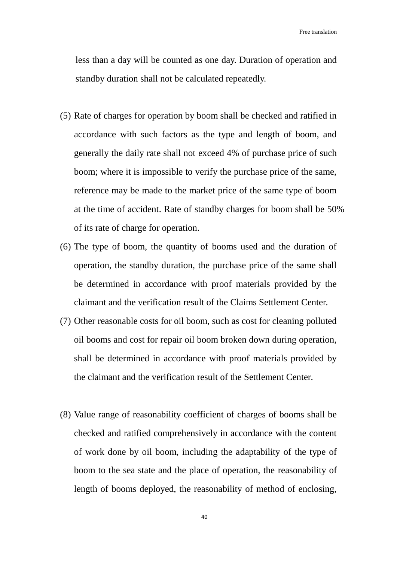less than a day will be counted as one day. Duration of operation and standby duration shall not be calculated repeatedly.

- (5) Rate of charges for operation by boom shall be checked and ratified in accordance with such factors as the type and length of boom, and generally the daily rate shall not exceed 4% of purchase price of such boom; where it is impossible to verify the purchase price of the same, reference may be made to the market price of the same type of boom at the time of accident. Rate of standby charges for boom shall be 50% of its rate of charge for operation.
- (6) The type of boom, the quantity of booms used and the duration of operation, the standby duration, the purchase price of the same shall be determined in accordance with proof materials provided by the claimant and the verification result of the Claims Settlement Center.
- (7) Other reasonable costs for oil boom, such as cost for cleaning polluted oil booms and cost for repair oil boom broken down during operation, shall be determined in accordance with proof materials provided by the claimant and the verification result of the Settlement Center.
- (8) Value range of reasonability coefficient of charges of booms shall be checked and ratified comprehensively in accordance with the content of work done by oil boom, including the adaptability of the type of boom to the sea state and the place of operation, the reasonability of length of booms deployed, the reasonability of method of enclosing,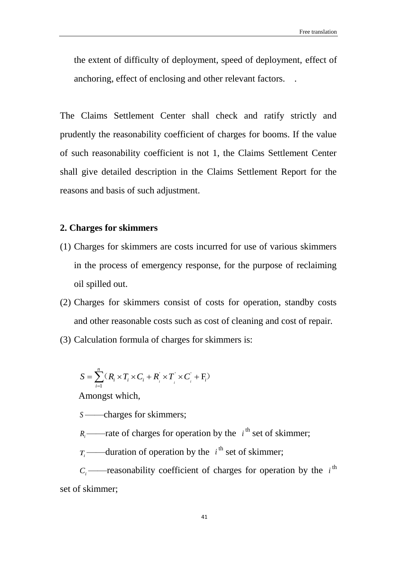the extent of difficulty of deployment, speed of deployment, effect of anchoring, effect of enclosing and other relevant factors. .

The Claims Settlement Center shall check and ratify strictly and prudently the reasonability coefficient of charges for booms. If the value of such reasonability coefficient is not 1, the Claims Settlement Center shall give detailed description in the Claims Settlement Report for the reasons and basis of such adjustment.

# **2. Charges for skimmers**

- (1) Charges for skimmers are costs incurred for use of various skimmers in the process of emergency response, for the purpose of reclaiming oil spilled out.
- (2) Charges for skimmers consist of costs for operation, standby costs and other reasonable costs such as cost of cleaning and cost of repair.
- (3) Calculation formula of charges for skimmers is:

$$
S = \sum_{i=1}^{n} (R_i \times T_i \times C_i + R_i^{'} \times T_i^{'} \times C_i^{'} + F_i)
$$

Amongst which,

*S* ——charges for skimmers;

 $R_i$ ——rate of charges for operation by the  $i^{\text{th}}$  set of skimmer;

 $T_i$ ——duration of operation by the  $i^{\text{th}}$  set of skimmer;

 $C_i$ ——reasonability coefficient of charges for operation by the  $i$ <sup>th</sup> set of skimmer;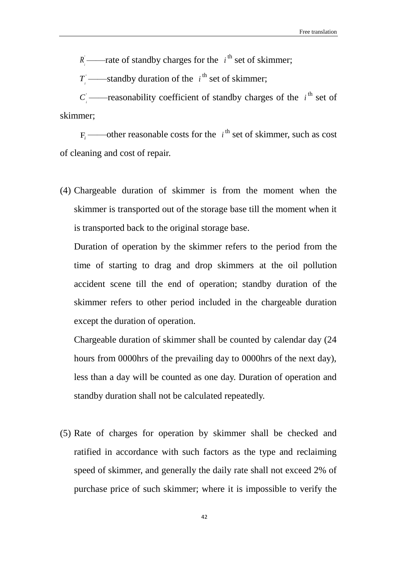$R_i$ ——rate of standby charges for the  $i^{\text{th}}$  set of skimmer;

 $T_i$  ——standby duration of the  $i^{\text{th}}$  set of skimmer;

 $C_i$  ——reasonability coefficient of standby charges of the  $i^{\text{th}}$  set of skimmer;

 $F_i$  ——other reasonable costs for the  $i^{\text{th}}$  set of skimmer, such as cost of cleaning and cost of repair.

(4) Chargeable duration of skimmer is from the moment when the skimmer is transported out of the storage base till the moment when it is transported back to the original storage base.

Duration of operation by the skimmer refers to the period from the time of starting to drag and drop skimmers at the oil pollution accident scene till the end of operation; standby duration of the skimmer refers to other period included in the chargeable duration except the duration of operation.

Chargeable duration of skimmer shall be counted by calendar day (24 hours from 0000hrs of the prevailing day to 0000hrs of the next day), less than a day will be counted as one day. Duration of operation and standby duration shall not be calculated repeatedly.

(5) Rate of charges for operation by skimmer shall be checked and ratified in accordance with such factors as the type and reclaiming speed of skimmer, and generally the daily rate shall not exceed 2% of purchase price of such skimmer; where it is impossible to verify the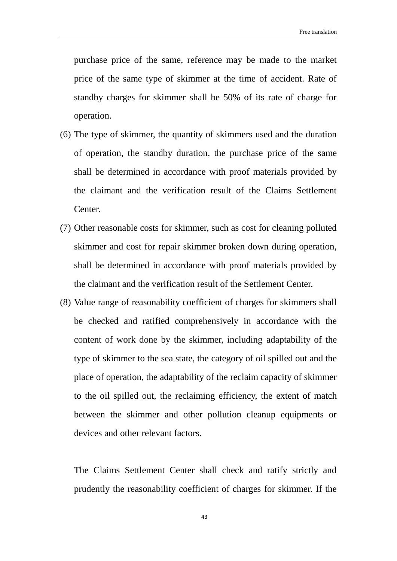purchase price of the same, reference may be made to the market price of the same type of skimmer at the time of accident. Rate of standby charges for skimmer shall be 50% of its rate of charge for operation.

- (6) The type of skimmer, the quantity of skimmers used and the duration of operation, the standby duration, the purchase price of the same shall be determined in accordance with proof materials provided by the claimant and the verification result of the Claims Settlement Center.
- (7) Other reasonable costs for skimmer, such as cost for cleaning polluted skimmer and cost for repair skimmer broken down during operation, shall be determined in accordance with proof materials provided by the claimant and the verification result of the Settlement Center.
- (8) Value range of reasonability coefficient of charges for skimmers shall be checked and ratified comprehensively in accordance with the content of work done by the skimmer, including adaptability of the type of skimmer to the sea state, the category of oil spilled out and the place of operation, the adaptability of the reclaim capacity of skimmer to the oil spilled out, the reclaiming efficiency, the extent of match between the skimmer and other pollution cleanup equipments or devices and other relevant factors.

The Claims Settlement Center shall check and ratify strictly and prudently the reasonability coefficient of charges for skimmer. If the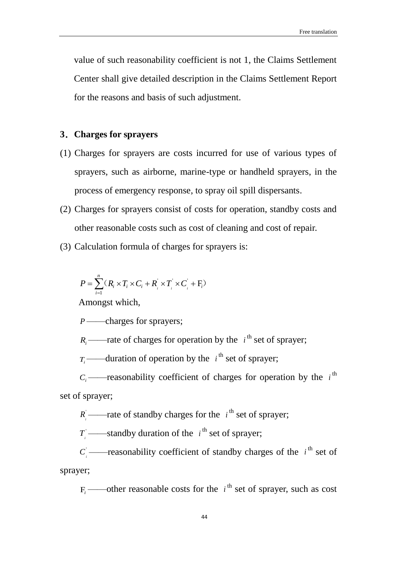value of such reasonability coefficient is not 1, the Claims Settlement Center shall give detailed description in the Claims Settlement Report for the reasons and basis of such adjustment.

## **3**.**Charges for sprayers**

- (1) Charges for sprayers are costs incurred for use of various types of sprayers, such as airborne, marine-type or handheld sprayers, in the process of emergency response, to spray oil spill dispersants.
- (2) Charges for sprayers consist of costs for operation, standby costs and other reasonable costs such as cost of cleaning and cost of repair.
- (3) Calculation formula of charges for sprayers is:

$$
P = \sum_{i=1}^{n} (R_i \times T_i \times C_i + R_i \times T_i \times C_i + F_i)
$$

Amongst which,

*P* ——charges for sprayers;

 $R_i$ ——rate of charges for operation by the  $i^{\text{th}}$  set of sprayer;

 $T_i$ ——duration of operation by the *i*<sup>th</sup> set of sprayer;

 $C_i$ ——reasonability coefficient of charges for operation by the  $i$ <sup>th</sup> set of sprayer;

 $R_i$ ——rate of standby charges for the  $i^{\text{th}}$  set of sprayer;

 $T_i$  ——standby duration of the  $i^{\text{th}}$  set of sprayer;

 $C_i$  ——reasonability coefficient of standby charges of the  $i^{\text{th}}$  set of sprayer;

 $F_i$ ——other reasonable costs for the  $i^{\text{th}}$  set of sprayer, such as cost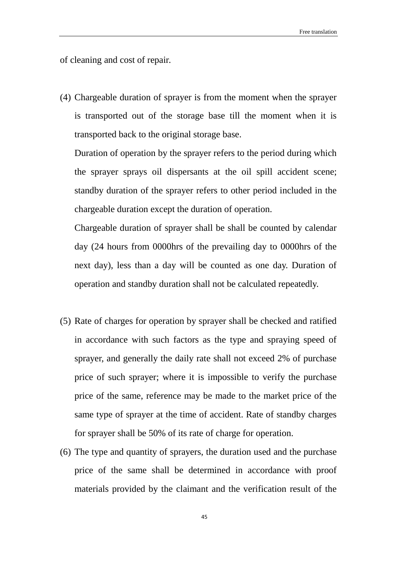of cleaning and cost of repair.

(4) Chargeable duration of sprayer is from the moment when the sprayer is transported out of the storage base till the moment when it is transported back to the original storage base.

Duration of operation by the sprayer refers to the period during which the sprayer sprays oil dispersants at the oil spill accident scene; standby duration of the sprayer refers to other period included in the chargeable duration except the duration of operation.

Chargeable duration of sprayer shall be shall be counted by calendar day (24 hours from 0000hrs of the prevailing day to 0000hrs of the next day), less than a day will be counted as one day. Duration of operation and standby duration shall not be calculated repeatedly.

- (5) Rate of charges for operation by sprayer shall be checked and ratified in accordance with such factors as the type and spraying speed of sprayer, and generally the daily rate shall not exceed 2% of purchase price of such sprayer; where it is impossible to verify the purchase price of the same, reference may be made to the market price of the same type of sprayer at the time of accident. Rate of standby charges for sprayer shall be 50% of its rate of charge for operation.
- (6) The type and quantity of sprayers, the duration used and the purchase price of the same shall be determined in accordance with proof materials provided by the claimant and the verification result of the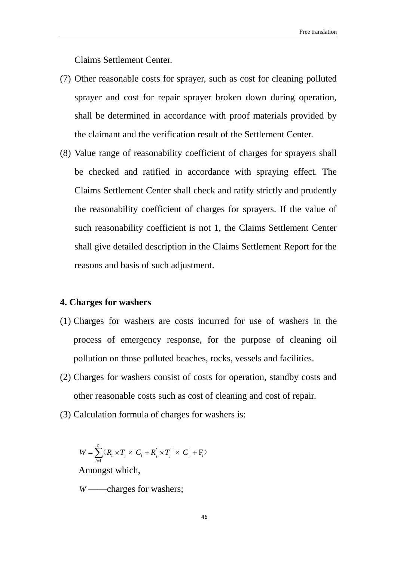Claims Settlement Center.

- (7) Other reasonable costs for sprayer, such as cost for cleaning polluted sprayer and cost for repair sprayer broken down during operation, shall be determined in accordance with proof materials provided by the claimant and the verification result of the Settlement Center.
- (8) Value range of reasonability coefficient of charges for sprayers shall be checked and ratified in accordance with spraying effect. The Claims Settlement Center shall check and ratify strictly and prudently the reasonability coefficient of charges for sprayers. If the value of such reasonability coefficient is not 1, the Claims Settlement Center shall give detailed description in the Claims Settlement Report for the reasons and basis of such adjustment.

#### **4. Charges for washers**

- (1) Charges for washers are costs incurred for use of washers in the process of emergency response, for the purpose of cleaning oil pollution on those polluted beaches, rocks, vessels and facilities.
- (2) Charges for washers consist of costs for operation, standby costs and other reasonable costs such as cost of cleaning and cost of repair.
- (3) Calculation formula of charges for washers is:

 $\sum_{i=1} (R_i \times T_i \times C_i + R_i \times T_i' \times C_i' + F_i')$  $=\sum^n (R_i \times T_i \times C_i + R_i \times T_i \times C_i +$ *i*  $W = \sum (R_i \times T_i \times C_i + R_i \times T_i \times C_i + F_i$ 1  $\big[\times T\big]\times C\big] + \mathrm{F}_i$ Amongst which, *W* ——charges for washers;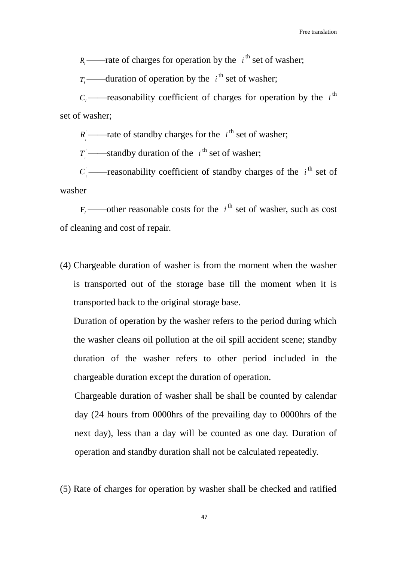$R_i$ ——rate of charges for operation by the  $i^{\text{th}}$  set of washer;

 $T_i$ ——duration of operation by the  $i^{\text{th}}$  set of washer;

 $C_i$  ——reasonability coefficient of charges for operation by the  $i$ <sup>th</sup> set of washer;

 $R_i$ ——rate of standby charges for the  $i^{\text{th}}$  set of washer;

 $T_i$  ——standby duration of the  $i^{\text{th}}$  set of washer;

 $C_i$  ——reasonability coefficient of standby charges of the  $i^{\text{th}}$  set of washer

 $F_i$ ——other reasonable costs for the  $i^{\text{th}}$  set of washer, such as cost of cleaning and cost of repair.

(4) Chargeable duration of washer is from the moment when the washer is transported out of the storage base till the moment when it is transported back to the original storage base.

Duration of operation by the washer refers to the period during which the washer cleans oil pollution at the oil spill accident scene; standby duration of the washer refers to other period included in the chargeable duration except the duration of operation.

Chargeable duration of washer shall be shall be counted by calendar day (24 hours from 0000hrs of the prevailing day to 0000hrs of the next day), less than a day will be counted as one day. Duration of operation and standby duration shall not be calculated repeatedly.

(5) Rate of charges for operation by washer shall be checked and ratified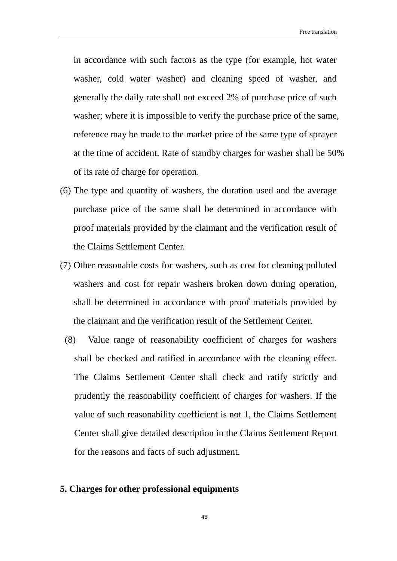in accordance with such factors as the type (for example, hot water washer, cold water washer) and cleaning speed of washer, and generally the daily rate shall not exceed 2% of purchase price of such washer; where it is impossible to verify the purchase price of the same, reference may be made to the market price of the same type of sprayer at the time of accident. Rate of standby charges for washer shall be 50% of its rate of charge for operation.

- (6) The type and quantity of washers, the duration used and the average purchase price of the same shall be determined in accordance with proof materials provided by the claimant and the verification result of the Claims Settlement Center.
- (7) Other reasonable costs for washers, such as cost for cleaning polluted washers and cost for repair washers broken down during operation, shall be determined in accordance with proof materials provided by the claimant and the verification result of the Settlement Center.
	- (8) Value range of reasonability coefficient of charges for washers shall be checked and ratified in accordance with the cleaning effect. The Claims Settlement Center shall check and ratify strictly and prudently the reasonability coefficient of charges for washers. If the value of such reasonability coefficient is not 1, the Claims Settlement Center shall give detailed description in the Claims Settlement Report for the reasons and facts of such adjustment.

# **5. Charges for other professional equipments**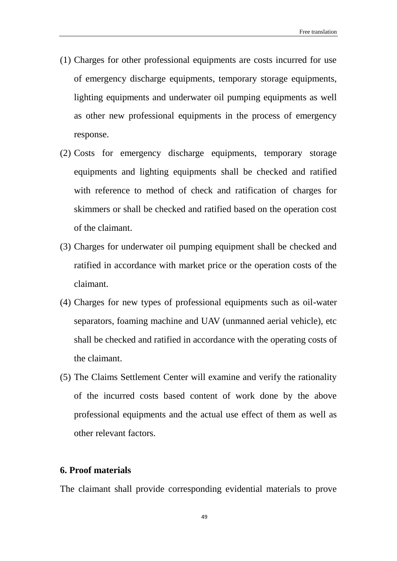- (1) Charges for other professional equipments are costs incurred for use of emergency discharge equipments, temporary storage equipments, lighting equipments and underwater oil pumping equipments as well as other new professional equipments in the process of emergency response.
- (2) Costs for emergency discharge equipments, temporary storage equipments and lighting equipments shall be checked and ratified with reference to method of check and ratification of charges for skimmers or shall be checked and ratified based on the operation cost of the claimant.
- (3) Charges for underwater oil pumping equipment shall be checked and ratified in accordance with market price or the operation costs of the claimant.
- (4) Charges for new types of professional equipments such as oil-water separators, foaming machine and UAV (unmanned aerial vehicle), etc shall be checked and ratified in accordance with the operating costs of the claimant.
- (5) The Claims Settlement Center will examine and verify the rationality of the incurred costs based content of work done by the above professional equipments and the actual use effect of them as well as other relevant factors.

# **6. Proof materials**

The claimant shall provide corresponding evidential materials to prove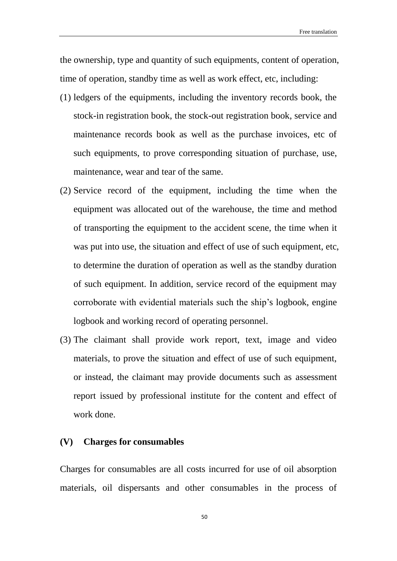the ownership, type and quantity of such equipments, content of operation, time of operation, standby time as well as work effect, etc, including:

- (1) ledgers of the equipments, including the inventory records book, the stock-in registration book, the stock-out registration book, service and maintenance records book as well as the purchase invoices, etc of such equipments, to prove corresponding situation of purchase, use, maintenance, wear and tear of the same.
- (2) Service record of the equipment, including the time when the equipment was allocated out of the warehouse, the time and method of transporting the equipment to the accident scene, the time when it was put into use, the situation and effect of use of such equipment, etc, to determine the duration of operation as well as the standby duration of such equipment. In addition, service record of the equipment may corroborate with evidential materials such the ship's logbook, engine logbook and working record of operating personnel.
- (3) The claimant shall provide work report, text, image and video materials, to prove the situation and effect of use of such equipment, or instead, the claimant may provide documents such as assessment report issued by professional institute for the content and effect of work done.

# **(V) Charges for consumables**

Charges for consumables are all costs incurred for use of oil absorption materials, oil dispersants and other consumables in the process of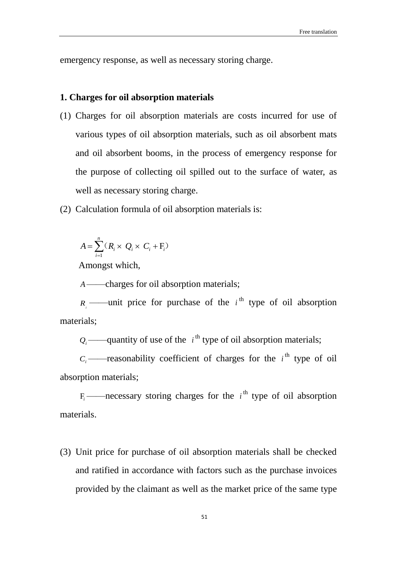emergency response, as well as necessary storing charge.

## **1. Charges for oil absorption materials**

- (1) Charges for oil absorption materials are costs incurred for use of various types of oil absorption materials, such as oil absorbent mats and oil absorbent booms, in the process of emergency response for the purpose of collecting oil spilled out to the surface of water, as well as necessary storing charge.
- (2) Calculation formula of oil absorption materials is:

$$
A = \sum_{i=1}^{n} (R_i \times Q_i \times C_i + F_i)
$$

Amongst which,

*A*——charges for oil absorption materials;

 $R_i$ ——unit price for purchase of the  $i^{\text{th}}$  type of oil absorption materials;

 $Q_i$ ——quantity of use of the  $i^{\text{th}}$  type of oil absorption materials;

 $C_i$  ——reasonability coefficient of charges for the  $i^{\text{th}}$  type of oil absorption materials;

 $F_i$ ——necessary storing charges for the  $i^{\text{th}}$  type of oil absorption materials.

(3) Unit price for purchase of oil absorption materials shall be checked and ratified in accordance with factors such as the purchase invoices provided by the claimant as well as the market price of the same type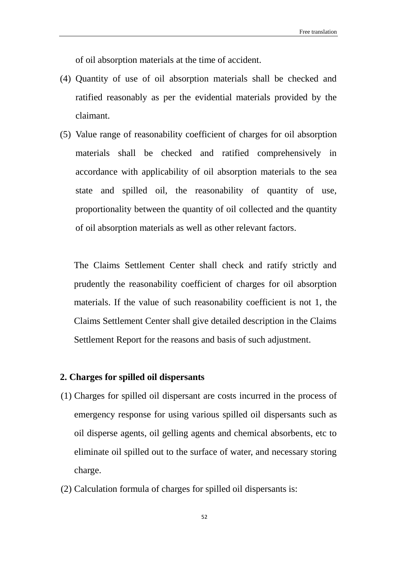of oil absorption materials at the time of accident.

- (4) Quantity of use of oil absorption materials shall be checked and ratified reasonably as per the evidential materials provided by the claimant.
- (5) Value range of reasonability coefficient of charges for oil absorption materials shall be checked and ratified comprehensively in accordance with applicability of oil absorption materials to the sea state and spilled oil, the reasonability of quantity of use, proportionality between the quantity of oil collected and the quantity of oil absorption materials as well as other relevant factors.

The Claims Settlement Center shall check and ratify strictly and prudently the reasonability coefficient of charges for oil absorption materials. If the value of such reasonability coefficient is not 1, the Claims Settlement Center shall give detailed description in the Claims Settlement Report for the reasons and basis of such adjustment.

## **2. Charges for spilled oil dispersants**

- (1) Charges for spilled oil dispersant are costs incurred in the process of emergency response for using various spilled oil dispersants such as oil disperse agents, oil gelling agents and chemical absorbents, etc to eliminate oil spilled out to the surface of water, and necessary storing charge.
- (2) Calculation formula of charges for spilled oil dispersants is: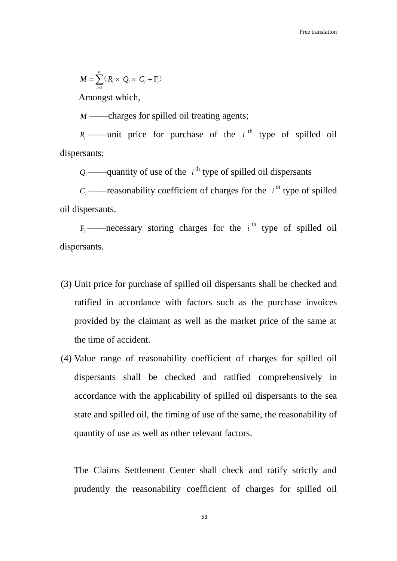$$
M = \sum_{i=1}^{n} (R_i \times Q_i \times C_i + F_i)
$$

Amongst which,

*M* ——charges for spilled oil treating agents;

 $R_i$  ——unit price for purchase of the  $i$ <sup>th</sup> type of spilled oil dispersants;

 $Q_i$  ——quantity of use of the  $i^{\text{th}}$  type of spilled oil dispersants

 $C_i$  ——reasonability coefficient of charges for the  $i^{\text{th}}$  type of spilled oil dispersants.

 $F_i$  ——necessary storing charges for the  $i$ <sup>th</sup> type of spilled oil dispersants.

- (3) Unit price for purchase of spilled oil dispersants shall be checked and ratified in accordance with factors such as the purchase invoices provided by the claimant as well as the market price of the same at the time of accident.
- (4) Value range of reasonability coefficient of charges for spilled oil dispersants shall be checked and ratified comprehensively in accordance with the applicability of spilled oil dispersants to the sea state and spilled oil, the timing of use of the same, the reasonability of quantity of use as well as other relevant factors.

The Claims Settlement Center shall check and ratify strictly and prudently the reasonability coefficient of charges for spilled oil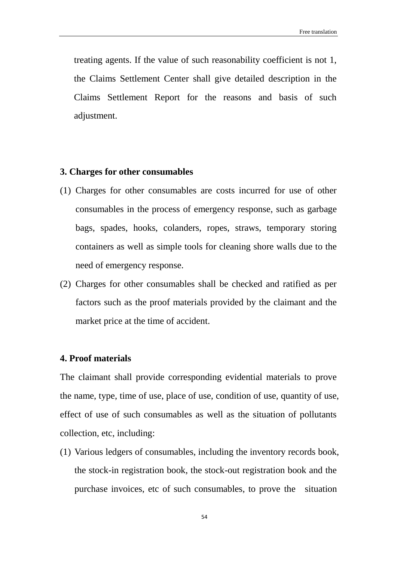treating agents. If the value of such reasonability coefficient is not 1, the Claims Settlement Center shall give detailed description in the Claims Settlement Report for the reasons and basis of such adjustment.

## **3. Charges for other consumables**

- (1) Charges for other consumables are costs incurred for use of other consumables in the process of emergency response, such as garbage bags, spades, hooks, colanders, ropes, straws, temporary storing containers as well as simple tools for cleaning shore walls due to the need of emergency response.
- (2) Charges for other consumables shall be checked and ratified as per factors such as the proof materials provided by the claimant and the market price at the time of accident.

## **4. Proof materials**

The claimant shall provide corresponding evidential materials to prove the name, type, time of use, place of use, condition of use, quantity of use, effect of use of such consumables as well as the situation of pollutants collection, etc, including:

(1) Various ledgers of consumables, including the inventory records book, the stock-in registration book, the stock-out registration book and the purchase invoices, etc of such consumables, to prove the situation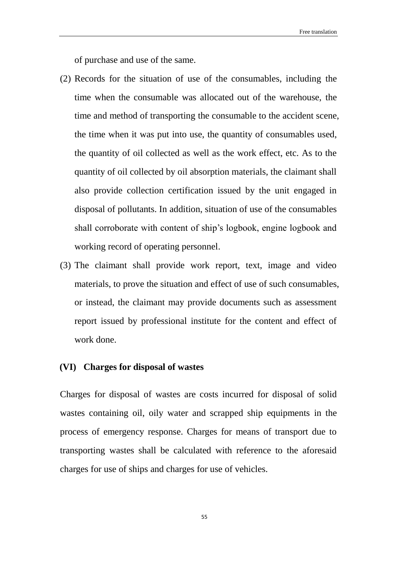of purchase and use of the same.

- (2) Records for the situation of use of the consumables, including the time when the consumable was allocated out of the warehouse, the time and method of transporting the consumable to the accident scene, the time when it was put into use, the quantity of consumables used, the quantity of oil collected as well as the work effect, etc. As to the quantity of oil collected by oil absorption materials, the claimant shall also provide collection certification issued by the unit engaged in disposal of pollutants. In addition, situation of use of the consumables shall corroborate with content of ship's logbook, engine logbook and working record of operating personnel.
- (3) The claimant shall provide work report, text, image and video materials, to prove the situation and effect of use of such consumables, or instead, the claimant may provide documents such as assessment report issued by professional institute for the content and effect of work done.

#### **(VI) Charges for disposal of wastes**

Charges for disposal of wastes are costs incurred for disposal of solid wastes containing oil, oily water and scrapped ship equipments in the process of emergency response. Charges for means of transport due to transporting wastes shall be calculated with reference to the aforesaid charges for use of ships and charges for use of vehicles.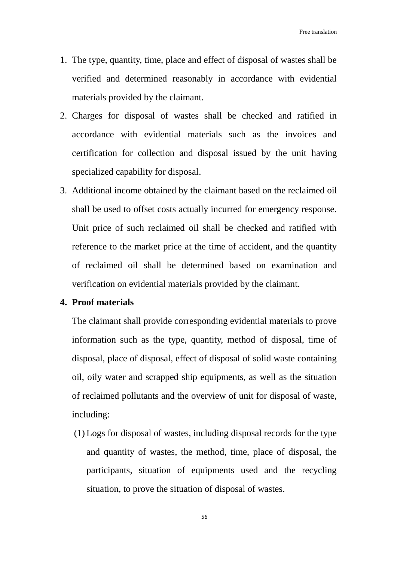- 1. The type, quantity, time, place and effect of disposal of wastes shall be verified and determined reasonably in accordance with evidential materials provided by the claimant.
- 2. Charges for disposal of wastes shall be checked and ratified in accordance with evidential materials such as the invoices and certification for collection and disposal issued by the unit having specialized capability for disposal.
- 3. Additional income obtained by the claimant based on the reclaimed oil shall be used to offset costs actually incurred for emergency response. Unit price of such reclaimed oil shall be checked and ratified with reference to the market price at the time of accident, and the quantity of reclaimed oil shall be determined based on examination and verification on evidential materials provided by the claimant.

# **4. Proof materials**

The claimant shall provide corresponding evidential materials to prove information such as the type, quantity, method of disposal, time of disposal, place of disposal, effect of disposal of solid waste containing oil, oily water and scrapped ship equipments, as well as the situation of reclaimed pollutants and the overview of unit for disposal of waste, including:

(1) Logs for disposal of wastes, including disposal records for the type and quantity of wastes, the method, time, place of disposal, the participants, situation of equipments used and the recycling situation, to prove the situation of disposal of wastes.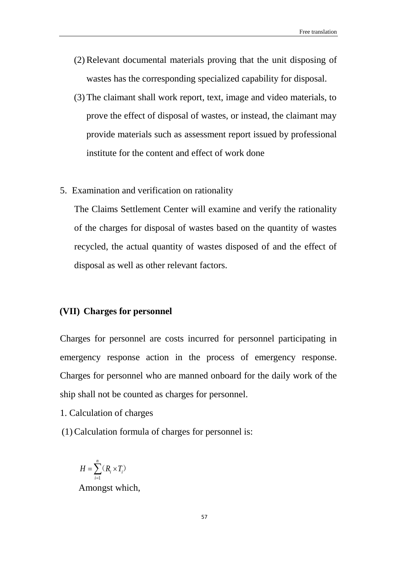- (2)Relevant documental materials proving that the unit disposing of wastes has the corresponding specialized capability for disposal.
- (3) The claimant shall work report, text, image and video materials, to prove the effect of disposal of wastes, or instead, the claimant may provide materials such as assessment report issued by professional institute for the content and effect of work done
- 5. Examination and verification on rationality

The Claims Settlement Center will examine and verify the rationality of the charges for disposal of wastes based on the quantity of wastes recycled, the actual quantity of wastes disposed of and the effect of disposal as well as other relevant factors.

## **(VII) Charges for personnel**

Charges for personnel are costs incurred for personnel participating in emergency response action in the process of emergency response. Charges for personnel who are manned onboard for the daily work of the ship shall not be counted as charges for personnel.

- 1. Calculation of charges
- (1) Calculation formula of charges for personnel is:

$$
H = \sum_{i=1}^{n} (R_i \times T_i)
$$
  
Appendix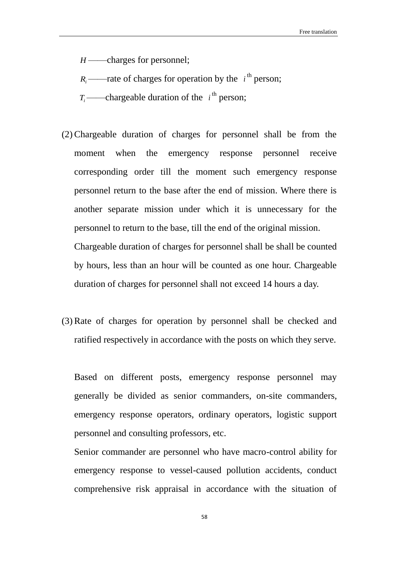*H* ——charges for personnel;

 $R_i$ ——rate of charges for operation by the  $i^{\text{th}}$  person;

 $T_i$ ——chargeable duration of the  $i^{\text{th}}$  person;

(2) Chargeable duration of charges for personnel shall be from the moment when the emergency response personnel receive corresponding order till the moment such emergency response personnel return to the base after the end of mission. Where there is another separate mission under which it is unnecessary for the personnel to return to the base, till the end of the original mission. Chargeable duration of charges for personnel shall be shall be counted by hours, less than an hour will be counted as one hour. Chargeable

duration of charges for personnel shall not exceed 14 hours a day.

(3) Rate of charges for operation by personnel shall be checked and ratified respectively in accordance with the posts on which they serve.

Based on different posts, emergency response personnel may generally be divided as senior commanders, on-site commanders, emergency response operators, ordinary operators, logistic support personnel and consulting professors, etc.

Senior commander are personnel who have macro-control ability for emergency response to vessel-caused pollution accidents, conduct comprehensive risk appraisal in accordance with the situation of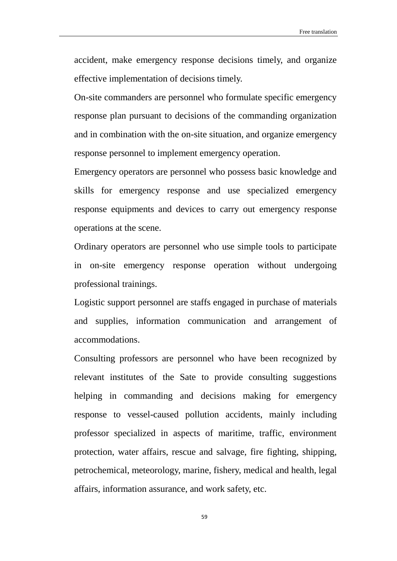accident, make emergency response decisions timely, and organize effective implementation of decisions timely.

On-site commanders are personnel who formulate specific emergency response plan pursuant to decisions of the commanding organization and in combination with the on-site situation, and organize emergency response personnel to implement emergency operation.

Emergency operators are personnel who possess basic knowledge and skills for emergency response and use specialized emergency response equipments and devices to carry out emergency response operations at the scene.

Ordinary operators are personnel who use simple tools to participate in on-site emergency response operation without undergoing professional trainings.

Logistic support personnel are staffs engaged in purchase of materials and supplies, information communication and arrangement of accommodations.

Consulting professors are personnel who have been recognized by relevant institutes of the Sate to provide consulting suggestions helping in commanding and decisions making for emergency response to vessel-caused pollution accidents, mainly including professor specialized in aspects of maritime, traffic, environment protection, water affairs, rescue and salvage, fire fighting, shipping, petrochemical, meteorology, marine, fishery, medical and health, legal affairs, information assurance, and work safety, etc.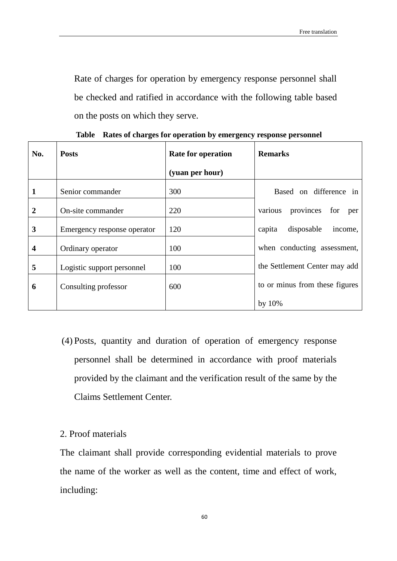Rate of charges for operation by emergency response personnel shall be checked and ratified in accordance with the following table based on the posts on which they serve.

| No.          | <b>Posts</b>                | Rate for operation | <b>Remarks</b>                  |
|--------------|-----------------------------|--------------------|---------------------------------|
|              |                             | (yuan per hour)    |                                 |
| 1            | Senior commander            | 300                | Based on difference in          |
| $\mathbf{2}$ | On-site commander           | 220                | various provinces for<br>per    |
| 3            | Emergency response operator | 120                | disposable<br>capita<br>income, |
| 4            | Ordinary operator           | 100                | when conducting assessment,     |
| 5            | Logistic support personnel  | 100                | the Settlement Center may add   |
| 6            | Consulting professor        | 600                | to or minus from these figures  |
|              |                             |                    | by 10%                          |

**Table Rates of charges for operation by emergency response personnel**

- (4) Posts, quantity and duration of operation of emergency response personnel shall be determined in accordance with proof materials provided by the claimant and the verification result of the same by the Claims Settlement Center.
- 2. Proof materials

The claimant shall provide corresponding evidential materials to prove the name of the worker as well as the content, time and effect of work, including: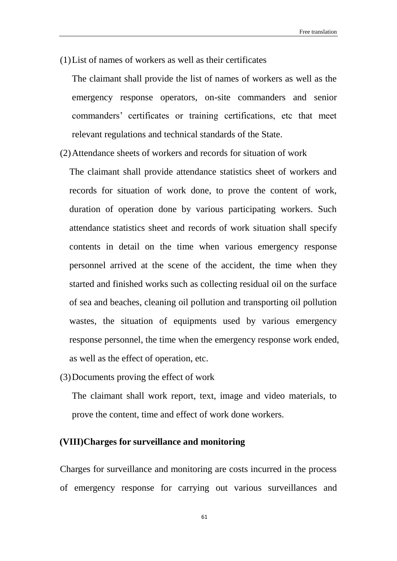(1)List of names of workers as well as their certificates

The claimant shall provide the list of names of workers as well as the emergency response operators, on-site commanders and senior commanders' certificates or training certifications, etc that meet relevant regulations and technical standards of the State.

(2)Attendance sheets of workers and records for situation of work

The claimant shall provide attendance statistics sheet of workers and records for situation of work done, to prove the content of work, duration of operation done by various participating workers. Such attendance statistics sheet and records of work situation shall specify contents in detail on the time when various emergency response personnel arrived at the scene of the accident, the time when they started and finished works such as collecting residual oil on the surface of sea and beaches, cleaning oil pollution and transporting oil pollution wastes, the situation of equipments used by various emergency response personnel, the time when the emergency response work ended, as well as the effect of operation, etc.

(3)Documents proving the effect of work

The claimant shall work report, text, image and video materials, to prove the content, time and effect of work done workers.

# **(VIII)Charges for surveillance and monitoring**

Charges for surveillance and monitoring are costs incurred in the process of emergency response for carrying out various surveillances and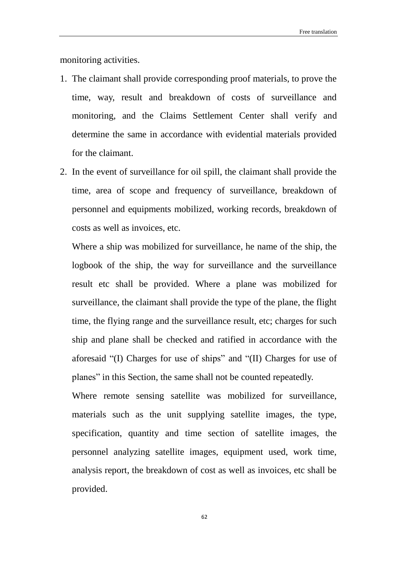monitoring activities.

- 1. The claimant shall provide corresponding proof materials, to prove the time, way, result and breakdown of costs of surveillance and monitoring, and the Claims Settlement Center shall verify and determine the same in accordance with evidential materials provided for the claimant.
- 2. In the event of surveillance for oil spill, the claimant shall provide the time, area of scope and frequency of surveillance, breakdown of personnel and equipments mobilized, working records, breakdown of costs as well as invoices, etc.

Where a ship was mobilized for surveillance, he name of the ship, the logbook of the ship, the way for surveillance and the surveillance result etc shall be provided. Where a plane was mobilized for surveillance, the claimant shall provide the type of the plane, the flight time, the flying range and the surveillance result, etc; charges for such ship and plane shall be checked and ratified in accordance with the aforesaid "(I) Charges for use of ships" and "(II) Charges for use of planes" in this Section, the same shall not be counted repeatedly.

Where remote sensing satellite was mobilized for surveillance, materials such as the unit supplying satellite images, the type, specification, quantity and time section of satellite images, the personnel analyzing satellite images, equipment used, work time, analysis report, the breakdown of cost as well as invoices, etc shall be provided.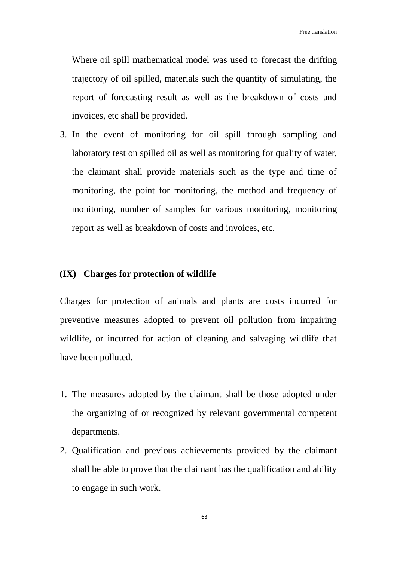Where oil spill mathematical model was used to forecast the drifting trajectory of oil spilled, materials such the quantity of simulating, the report of forecasting result as well as the breakdown of costs and invoices, etc shall be provided.

3. In the event of monitoring for oil spill through sampling and laboratory test on spilled oil as well as monitoring for quality of water, the claimant shall provide materials such as the type and time of monitoring, the point for monitoring, the method and frequency of monitoring, number of samples for various monitoring, monitoring report as well as breakdown of costs and invoices, etc.

# **(IX) Charges for protection of wildlife**

Charges for protection of animals and plants are costs incurred for preventive measures adopted to prevent oil pollution from impairing wildlife, or incurred for action of cleaning and salvaging wildlife that have been polluted.

- 1. The measures adopted by the claimant shall be those adopted under the organizing of or recognized by relevant governmental competent departments.
- 2. Qualification and previous achievements provided by the claimant shall be able to prove that the claimant has the qualification and ability to engage in such work.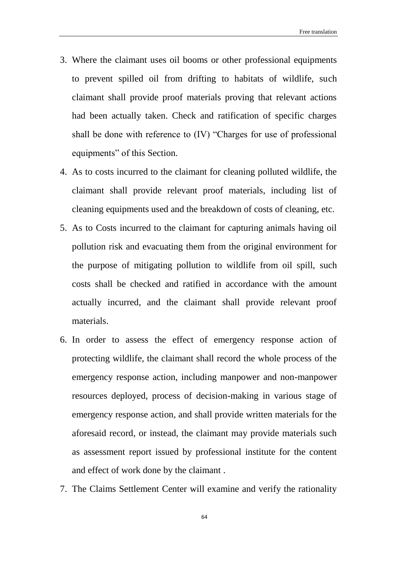- 3. Where the claimant uses oil booms or other professional equipments to prevent spilled oil from drifting to habitats of wildlife, such claimant shall provide proof materials proving that relevant actions had been actually taken. Check and ratification of specific charges shall be done with reference to (IV) "Charges for use of professional equipments" of this Section.
- 4. As to costs incurred to the claimant for cleaning polluted wildlife, the claimant shall provide relevant proof materials, including list of cleaning equipments used and the breakdown of costs of cleaning, etc.
- 5. As to Costs incurred to the claimant for capturing animals having oil pollution risk and evacuating them from the original environment for the purpose of mitigating pollution to wildlife from oil spill, such costs shall be checked and ratified in accordance with the amount actually incurred, and the claimant shall provide relevant proof materials.
- 6. In order to assess the effect of emergency response action of protecting wildlife, the claimant shall record the whole process of the emergency response action, including manpower and non-manpower resources deployed, process of decision-making in various stage of emergency response action, and shall provide written materials for the aforesaid record, or instead, the claimant may provide materials such as assessment report issued by professional institute for the content and effect of work done by the claimant .
- 7. The Claims Settlement Center will examine and verify the rationality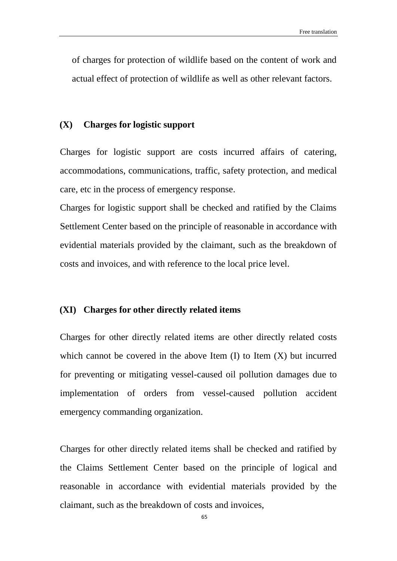of charges for protection of wildlife based on the content of work and actual effect of protection of wildlife as well as other relevant factors.

### **(X) Charges for logistic support**

Charges for logistic support are costs incurred affairs of catering, accommodations, communications, traffic, safety protection, and medical care, etc in the process of emergency response.

Charges for logistic support shall be checked and ratified by the Claims Settlement Center based on the principle of reasonable in accordance with evidential materials provided by the claimant, such as the breakdown of costs and invoices, and with reference to the local price level.

### **(XI) Charges for other directly related items**

Charges for other directly related items are other directly related costs which cannot be covered in the above Item  $(I)$  to Item  $(X)$  but incurred for preventing or mitigating vessel-caused oil pollution damages due to implementation of orders from vessel-caused pollution accident emergency commanding organization.

Charges for other directly related items shall be checked and ratified by the Claims Settlement Center based on the principle of logical and reasonable in accordance with evidential materials provided by the claimant, such as the breakdown of costs and invoices,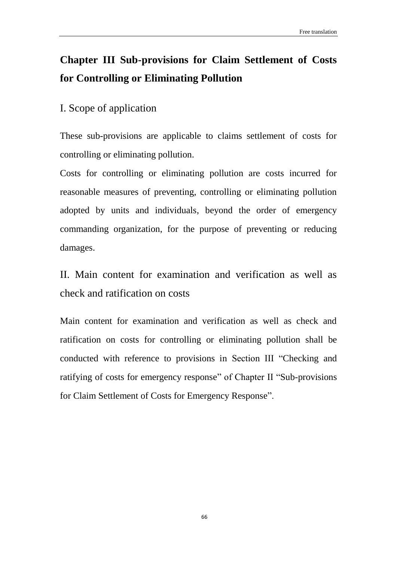# **Chapter III Sub-provisions for Claim Settlement of Costs for Controlling or Eliminating Pollution**

# I. Scope of application

These sub-provisions are applicable to claims settlement of costs for controlling or eliminating pollution.

Costs for controlling or eliminating pollution are costs incurred for reasonable measures of preventing, controlling or eliminating pollution adopted by units and individuals, beyond the order of emergency commanding organization, for the purpose of preventing or reducing damages.

II. Main content for examination and verification as well as check and ratification on costs

Main content for examination and verification as well as check and ratification on costs for controlling or eliminating pollution shall be conducted with reference to provisions in Section III "Checking and ratifying of costs for emergency response" of Chapter II "Sub-provisions for Claim Settlement of Costs for Emergency Response".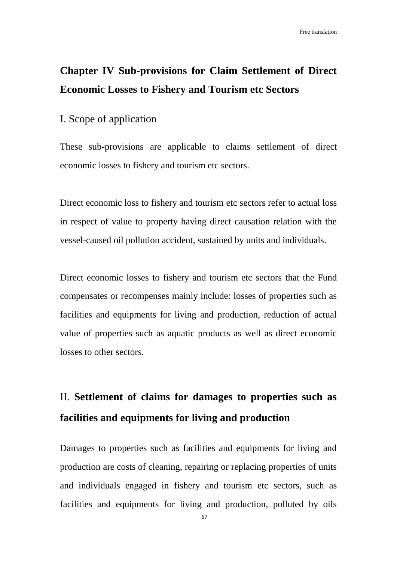# **Chapter IV Sub-provisions for Claim Settlement of Direct Economic Losses to Fishery and Tourism etc Sectors**

# I. Scope of application

These sub-provisions are applicable to claims settlement of direct economic losses to fishery and tourism etc sectors.

Direct economic loss to fishery and tourism etc sectors refer to actual loss in respect of value to property having direct causation relation with the vessel-caused oil pollution accident, sustained by units and individuals.

Direct economic losses to fishery and tourism etc sectors that the Fund compensates or recompenses mainly include: losses of properties such as facilities and equipments for living and production, reduction of actual value of properties such as aquatic products as well as direct economic losses to other sectors.

# II. **Settlement of claims for damages to properties such as facilities and equipments for living and production**

Damages to properties such as facilities and equipments for living and production are costs of cleaning, repairing or replacing properties of units and individuals engaged in fishery and tourism etc sectors, such as facilities and equipments for living and production, polluted by oils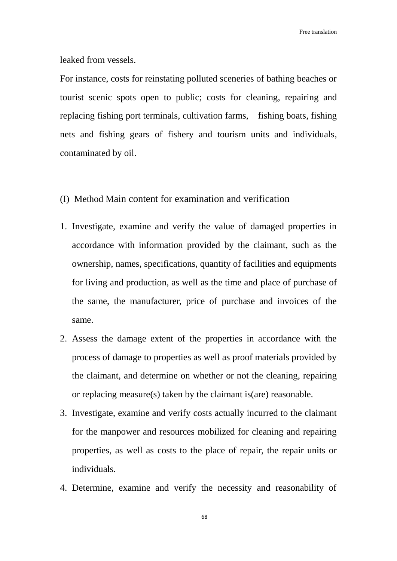leaked from vessels.

For instance, costs for reinstating polluted sceneries of bathing beaches or tourist scenic spots open to public; costs for cleaning, repairing and replacing fishing port terminals, cultivation farms, fishing boats, fishing nets and fishing gears of fishery and tourism units and individuals, contaminated by oil.

- (I) Method Main content for examination and verification
- 1. Investigate, examine and verify the value of damaged properties in accordance with information provided by the claimant, such as the ownership, names, specifications, quantity of facilities and equipments for living and production, as well as the time and place of purchase of the same, the manufacturer, price of purchase and invoices of the same.
- 2. Assess the damage extent of the properties in accordance with the process of damage to properties as well as proof materials provided by the claimant, and determine on whether or not the cleaning, repairing or replacing measure(s) taken by the claimant is(are) reasonable.
- 3. Investigate, examine and verify costs actually incurred to the claimant for the manpower and resources mobilized for cleaning and repairing properties, as well as costs to the place of repair, the repair units or individuals.
- 4. Determine, examine and verify the necessity and reasonability of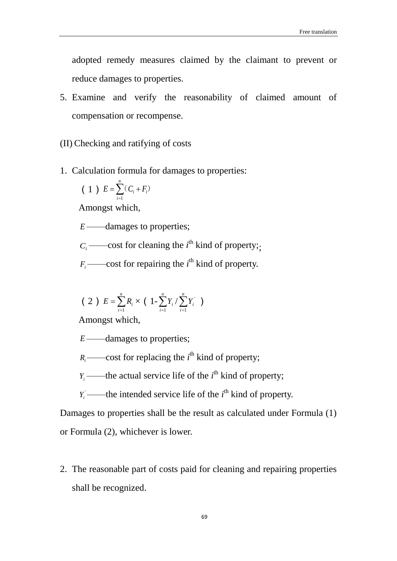adopted remedy measures claimed by the claimant to prevent or reduce damages to properties.

- 5. Examine and verify the reasonability of claimed amount of compensation or recompense.
- (II) Checking and ratifying of costs
- 1. Calculation formula for damages to properties:

(1) 
$$
E = \sum_{i=1}^{n} (C_i + F_i)
$$

Amongst which,

*E* ——damages to properties;

 $C_i$  ——cost for cleaning the *i*<sup>th</sup> kind of property;

 $F_i$  ——cost for repairing the  $i^{\text{th}}$  kind of property.

$$
(2) E = \sum_{i=1}^{n} R_i \times (1 - \sum_{i=1}^{n} Y_i / \sum_{i=1}^{n} Y_i^{\prime})
$$

Amongst which,

*E* ——damages to properties;

 $R_i$ ——cost for replacing the  $i^{\text{th}}$  kind of property;

 $Y_i$  ——the actual service life of the  $i^{\text{th}}$  kind of property;

 $Y_i$  ——the intended service life of the  $i^{\text{th}}$  kind of property.

Damages to properties shall be the result as calculated under Formula (1) or Formula (2), whichever is lower.

2. The reasonable part of costs paid for cleaning and repairing properties shall be recognized.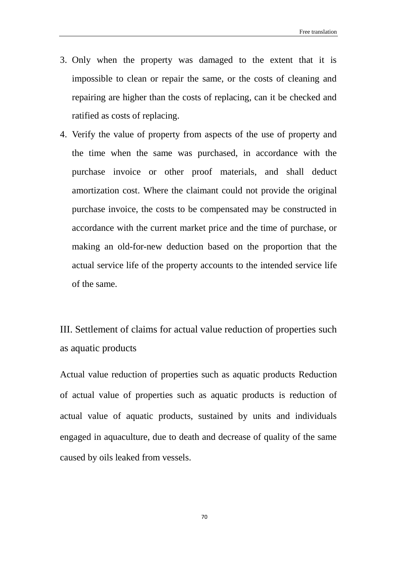- 3. Only when the property was damaged to the extent that it is impossible to clean or repair the same, or the costs of cleaning and repairing are higher than the costs of replacing, can it be checked and ratified as costs of replacing.
- 4. Verify the value of property from aspects of the use of property and the time when the same was purchased, in accordance with the purchase invoice or other proof materials, and shall deduct amortization cost. Where the claimant could not provide the original purchase invoice, the costs to be compensated may be constructed in accordance with the current market price and the time of purchase, or making an old-for-new deduction based on the proportion that the actual service life of the property accounts to the intended service life of the same.

III. Settlement of claims for actual value reduction of properties such as aquatic products

Actual value reduction of properties such as aquatic products Reduction of actual value of properties such as aquatic products is reduction of actual value of aquatic products, sustained by units and individuals engaged in aquaculture, due to death and decrease of quality of the same caused by oils leaked from vessels.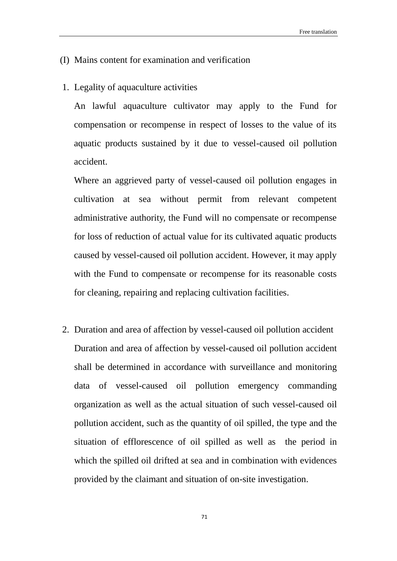#### (I) Mains content for examination and verification

1. Legality of aquaculture activities

An lawful aquaculture cultivator may apply to the Fund for compensation or recompense in respect of losses to the value of its aquatic products sustained by it due to vessel-caused oil pollution accident.

Where an aggrieved party of vessel-caused oil pollution engages in cultivation at sea without permit from relevant competent administrative authority, the Fund will no compensate or recompense for loss of reduction of actual value for its cultivated aquatic products caused by vessel-caused oil pollution accident. However, it may apply with the Fund to compensate or recompense for its reasonable costs for cleaning, repairing and replacing cultivation facilities.

2. Duration and area of affection by vessel-caused oil pollution accident Duration and area of affection by vessel-caused oil pollution accident shall be determined in accordance with surveillance and monitoring data of vessel-caused oil pollution emergency commanding organization as well as the actual situation of such vessel-caused oil pollution accident, such as the quantity of oil spilled, the type and the situation of efflorescence of oil spilled as well as the period in which the spilled oil drifted at sea and in combination with evidences provided by the claimant and situation of on-site investigation.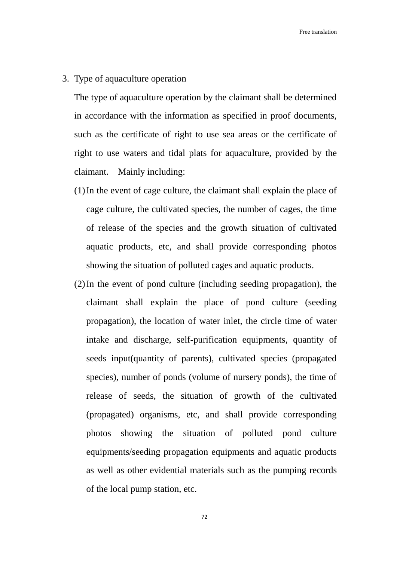3. Type of aquaculture operation

The type of aquaculture operation by the claimant shall be determined in accordance with the information as specified in proof documents, such as the certificate of right to use sea areas or the certificate of right to use waters and tidal plats for aquaculture, provided by the claimant. Mainly including:

- (1)In the event of cage culture, the claimant shall explain the place of cage culture, the cultivated species, the number of cages, the time of release of the species and the growth situation of cultivated aquatic products, etc, and shall provide corresponding photos showing the situation of polluted cages and aquatic products.
- (2)In the event of pond culture (including seeding propagation), the claimant shall explain the place of pond culture (seeding propagation), the location of water inlet, the circle time of water intake and discharge, self-purification equipments, quantity of seeds input(quantity of parents), cultivated species (propagated species), number of ponds (volume of nursery ponds), the time of release of seeds, the situation of growth of the cultivated (propagated) organisms, etc, and shall provide corresponding photos showing the situation of polluted pond culture equipments/seeding propagation equipments and aquatic products as well as other evidential materials such as the pumping records of the local pump station, etc.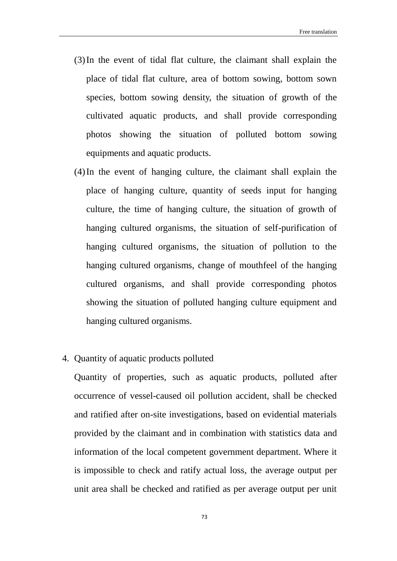- (3)In the event of tidal flat culture, the claimant shall explain the place of tidal flat culture, area of bottom sowing, bottom sown species, bottom sowing density, the situation of growth of the cultivated aquatic products, and shall provide corresponding photos showing the situation of polluted bottom sowing equipments and aquatic products.
- (4)In the event of hanging culture, the claimant shall explain the place of hanging culture, quantity of seeds input for hanging culture, the time of hanging culture, the situation of growth of hanging cultured organisms, the situation of self-purification of hanging cultured organisms, the situation of pollution to the hanging cultured organisms, change of mouthfeel of the hanging cultured organisms, and shall provide corresponding photos showing the situation of polluted hanging culture equipment and hanging cultured organisms.
- 4. Quantity of aquatic products polluted

Quantity of properties, such as aquatic products, polluted after occurrence of vessel-caused oil pollution accident, shall be checked and ratified after on-site investigations, based on evidential materials provided by the claimant and in combination with statistics data and information of the local competent government department. Where it is impossible to check and ratify actual loss, the average output per unit area shall be checked and ratified as per average output per unit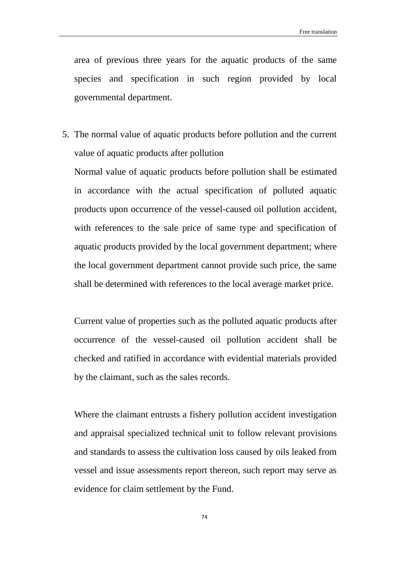area of previous three years for the aquatic products of the same species and specification in such region provided by local governmental department.

5. The normal value of aquatic products before pollution and the current value of aquatic products after pollution

Normal value of aquatic products before pollution shall be estimated in accordance with the actual specification of polluted aquatic products upon occurrence of the vessel-caused oil pollution accident, with references to the sale price of same type and specification of aquatic products provided by the local government department; where the local government department cannot provide such price, the same shall be determined with references to the local average market price.

Current value of properties such as the polluted aquatic products after occurrence of the vessel-caused oil pollution accident shall be checked and ratified in accordance with evidential materials provided by the claimant, such as the sales records.

Where the claimant entrusts a fishery pollution accident investigation and appraisal specialized technical unit to follow relevant provisions and standards to assess the cultivation loss caused by oils leaked from vessel and issue assessments report thereon, such report may serve as evidence for claim settlement by the Fund.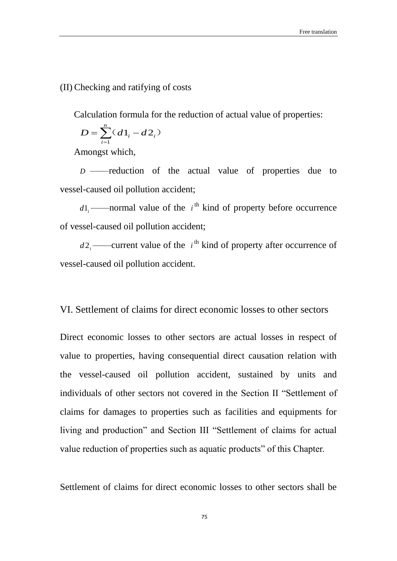#### (II) Checking and ratifying of costs

Calculation formula for the reduction of actual value of properties:

$$
D = \sum_{i=1}^{n} (d1_i - d2_i)
$$

Amongst which,

*D* ——reduction of the actual value of properties due to vessel-caused oil pollution accident;

 $d_1$ ——normal value of the  $i^{\text{th}}$  kind of property before occurrence of vessel-caused oil pollution accident;

 $d2_i$ ——current value of the  $i^{\text{th}}$  kind of property after occurrence of vessel-caused oil pollution accident.

### VI. Settlement of claims for direct economic losses to other sectors

Direct economic losses to other sectors are actual losses in respect of value to properties, having consequential direct causation relation with the vessel-caused oil pollution accident, sustained by units and individuals of other sectors not covered in the Section II "Settlement of claims for damages to properties such as facilities and equipments for living and production" and Section III "Settlement of claims for actual value reduction of properties such as aquatic products" of this Chapter.

Settlement of claims for direct economic losses to other sectors shall be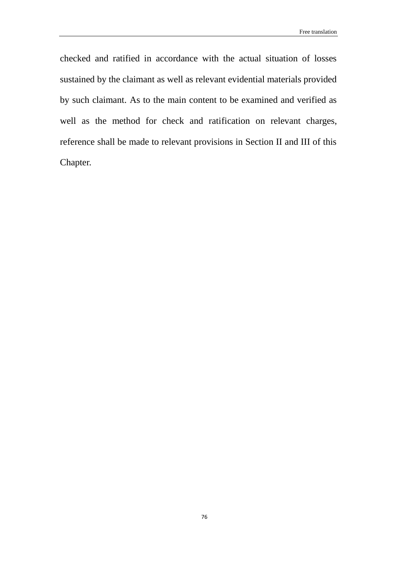checked and ratified in accordance with the actual situation of losses sustained by the claimant as well as relevant evidential materials provided by such claimant. As to the main content to be examined and verified as well as the method for check and ratification on relevant charges, reference shall be made to relevant provisions in Section II and III of this Chapter.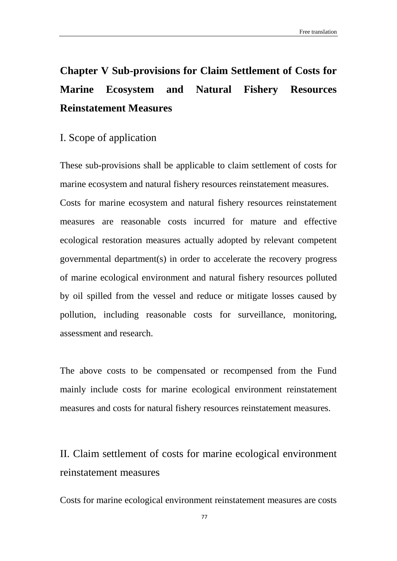# **Chapter V Sub-provisions for Claim Settlement of Costs for Marine Ecosystem and Natural Fishery Resources Reinstatement Measures**

### I. Scope of application

These sub-provisions shall be applicable to claim settlement of costs for marine ecosystem and natural fishery resources reinstatement measures. Costs for marine ecosystem and natural fishery resources reinstatement measures are reasonable costs incurred for mature and effective ecological restoration measures actually adopted by relevant competent governmental department(s) in order to accelerate the recovery progress of marine ecological environment and natural fishery resources polluted by oil spilled from the vessel and reduce or mitigate losses caused by pollution, including reasonable costs for surveillance, monitoring, assessment and research.

The above costs to be compensated or recompensed from the Fund mainly include costs for marine ecological environment reinstatement measures and costs for natural fishery resources reinstatement measures.

## II. Claim settlement of costs for marine ecological environment reinstatement measures

Costs for marine ecological environment reinstatement measures are costs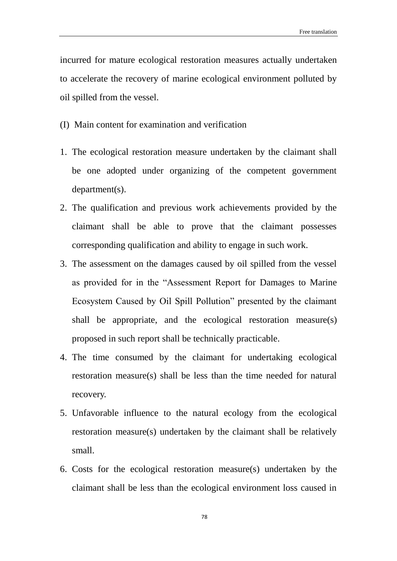incurred for mature ecological restoration measures actually undertaken to accelerate the recovery of marine ecological environment polluted by oil spilled from the vessel.

- (I) Main content for examination and verification
- 1. The ecological restoration measure undertaken by the claimant shall be one adopted under organizing of the competent government department(s).
- 2. The qualification and previous work achievements provided by the claimant shall be able to prove that the claimant possesses corresponding qualification and ability to engage in such work.
- 3. The assessment on the damages caused by oil spilled from the vessel as provided for in the "Assessment Report for Damages to Marine Ecosystem Caused by Oil Spill Pollution" presented by the claimant shall be appropriate, and the ecological restoration measure(s) proposed in such report shall be technically practicable.
- 4. The time consumed by the claimant for undertaking ecological restoration measure(s) shall be less than the time needed for natural recovery.
- 5. Unfavorable influence to the natural ecology from the ecological restoration measure(s) undertaken by the claimant shall be relatively small.
- 6. Costs for the ecological restoration measure(s) undertaken by the claimant shall be less than the ecological environment loss caused in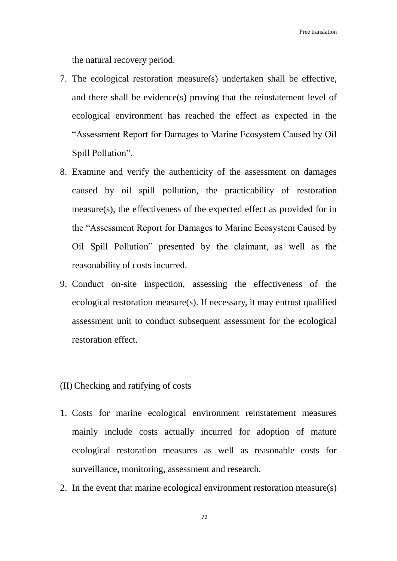the natural recovery period.

- 7. The ecological restoration measure(s) undertaken shall be effective, and there shall be evidence(s) proving that the reinstatement level of ecological environment has reached the effect as expected in the "Assessment Report for Damages to Marine Ecosystem Caused by Oil Spill Pollution".
- 8. Examine and verify the authenticity of the assessment on damages caused by oil spill pollution, the practicability of restoration measure(s), the effectiveness of the expected effect as provided for in the "Assessment Report for Damages to Marine Ecosystem Caused by Oil Spill Pollution" presented by the claimant, as well as the reasonability of costs incurred.
- 9. Conduct on-site inspection, assessing the effectiveness of the ecological restoration measure(s). If necessary, it may entrust qualified assessment unit to conduct subsequent assessment for the ecological restoration effect.
- (II) Checking and ratifying of costs
- 1. Costs for marine ecological environment reinstatement measures mainly include costs actually incurred for adoption of mature ecological restoration measures as well as reasonable costs for surveillance, monitoring, assessment and research.
- 2. In the event that marine ecological environment restoration measure(s)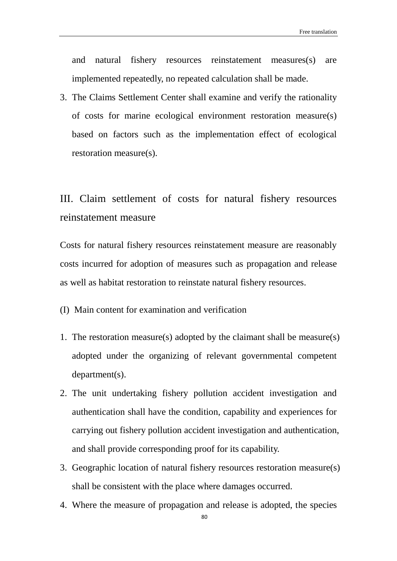and natural fishery resources reinstatement measures(s) are implemented repeatedly, no repeated calculation shall be made.

3. The Claims Settlement Center shall examine and verify the rationality of costs for marine ecological environment restoration measure(s) based on factors such as the implementation effect of ecological restoration measure(s).

## III. Claim settlement of costs for natural fishery resources reinstatement measure

Costs for natural fishery resources reinstatement measure are reasonably costs incurred for adoption of measures such as propagation and release as well as habitat restoration to reinstate natural fishery resources.

(I) Main content for examination and verification

- 1. The restoration measure(s) adopted by the claimant shall be measure(s) adopted under the organizing of relevant governmental competent department(s).
- 2. The unit undertaking fishery pollution accident investigation and authentication shall have the condition, capability and experiences for carrying out fishery pollution accident investigation and authentication, and shall provide corresponding proof for its capability.
- 3. Geographic location of natural fishery resources restoration measure(s) shall be consistent with the place where damages occurred.
- 4. Where the measure of propagation and release is adopted, the species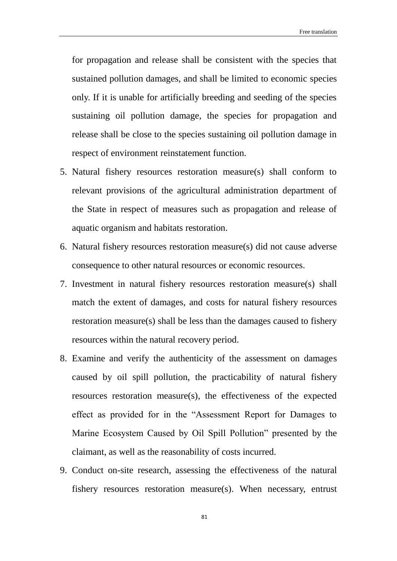for propagation and release shall be consistent with the species that sustained pollution damages, and shall be limited to economic species only. If it is unable for artificially breeding and seeding of the species sustaining oil pollution damage, the species for propagation and release shall be close to the species sustaining oil pollution damage in respect of environment reinstatement function.

- 5. Natural fishery resources restoration measure(s) shall conform to relevant provisions of the agricultural administration department of the State in respect of measures such as propagation and release of aquatic organism and habitats restoration.
- 6. Natural fishery resources restoration measure(s) did not cause adverse consequence to other natural resources or economic resources.
- 7. Investment in natural fishery resources restoration measure(s) shall match the extent of damages, and costs for natural fishery resources restoration measure(s) shall be less than the damages caused to fishery resources within the natural recovery period.
- 8. Examine and verify the authenticity of the assessment on damages caused by oil spill pollution, the practicability of natural fishery resources restoration measure(s), the effectiveness of the expected effect as provided for in the "Assessment Report for Damages to Marine Ecosystem Caused by Oil Spill Pollution" presented by the claimant, as well as the reasonability of costs incurred.
- 9. Conduct on-site research, assessing the effectiveness of the natural fishery resources restoration measure(s). When necessary, entrust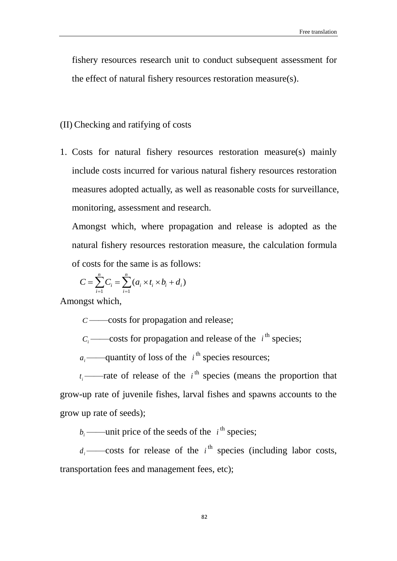fishery resources research unit to conduct subsequent assessment for the effect of natural fishery resources restoration measure(s).

- (II) Checking and ratifying of costs
- 1. Costs for natural fishery resources restoration measure(s) mainly include costs incurred for various natural fishery resources restoration measures adopted actually, as well as reasonable costs for surveillance, monitoring, assessment and research.

Amongst which, where propagation and release is adopted as the natural fishery resources restoration measure, the calculation formula of costs for the same is as follows:

$$
C = \sum_{i=1}^{n} C_i = \sum_{i=1}^{n} (a_i \times t_i \times b_i + d_i)
$$

Amongst which,

*C* ——costs for propagation and release;

 $C_i$  ——costs for propagation and release of the  $i^{\text{th}}$  species;

 $a_i$ ——quantity of loss of the  $i^{\text{th}}$  species resources;

 $t_i$ ——rate of release of the  $i$ <sup>th</sup> species (means the proportion that grow-up rate of juvenile fishes, larval fishes and spawns accounts to the grow up rate of seeds);

 $b_i$  ——unit price of the seeds of the  $i^{\text{th}}$  species;

 $d_i$  ——costs for release of the  $i^{\text{th}}$  species (including labor costs, transportation fees and management fees, etc);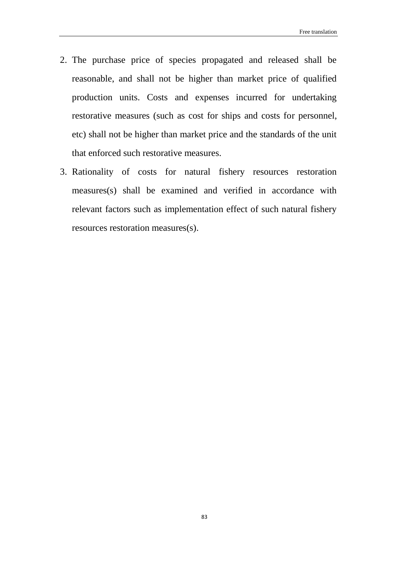- 2. The purchase price of species propagated and released shall be reasonable, and shall not be higher than market price of qualified production units. Costs and expenses incurred for undertaking restorative measures (such as cost for ships and costs for personnel, etc) shall not be higher than market price and the standards of the unit that enforced such restorative measures.
- 3. Rationality of costs for natural fishery resources restoration measures(s) shall be examined and verified in accordance with relevant factors such as implementation effect of such natural fishery resources restoration measures(s).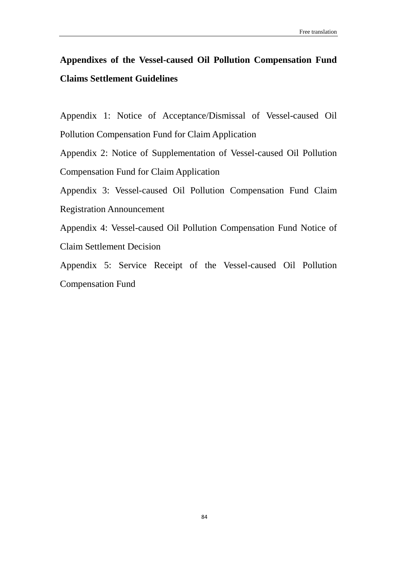### **Appendixes of the Vessel-caused Oil Pollution Compensation Fund Claims Settlement Guidelines**

Appendix 1: Notice of Acceptance/Dismissal of Vessel-caused Oil Pollution Compensation Fund for Claim Application

Appendix 2: Notice of Supplementation of Vessel-caused Oil Pollution Compensation Fund for Claim Application

Appendix 3: Vessel-caused Oil Pollution Compensation Fund Claim Registration Announcement

Appendix 4: Vessel-caused Oil Pollution Compensation Fund Notice of Claim Settlement Decision

Appendix 5: Service Receipt of the Vessel-caused Oil Pollution Compensation Fund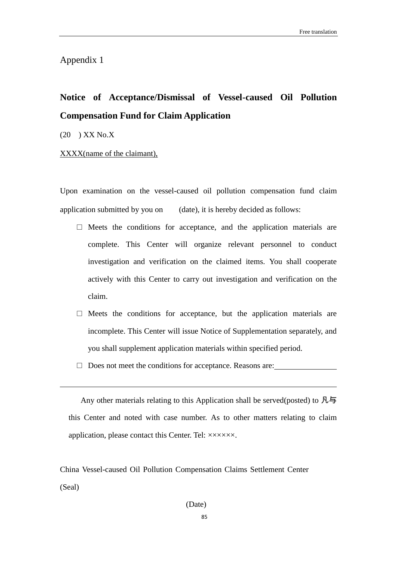Appendix 1

### **Notice of Acceptance/Dismissal of Vessel-caused Oil Pollution Compensation Fund for Claim Application**

(20 ) XX No.X

 $\overline{a}$ 

XXXX(name of the claimant),

Upon examination on the vessel-caused oil pollution compensation fund claim application submitted by you on (date), it is hereby decided as follows:

- $\square$  Meets the conditions for acceptance, and the application materials are complete. This Center will organize relevant personnel to conduct investigation and verification on the claimed items. You shall cooperate actively with this Center to carry out investigation and verification on the claim.
- $\square$  Meets the conditions for acceptance, but the application materials are incomplete. This Center will issue Notice of Supplementation separately, and you shall supplement application materials within specified period.
- □ Does not meet the conditions for acceptance. Reasons are:

Any other materials relating to this Application shall be served(posted) to  $\overline{M}$ this Center and noted with case number. As to other matters relating to claim application, please contact this Center. Tel: ××××××.

China Vessel-caused Oil Pollution Compensation Claims Settlement Center (Seal)

(Date)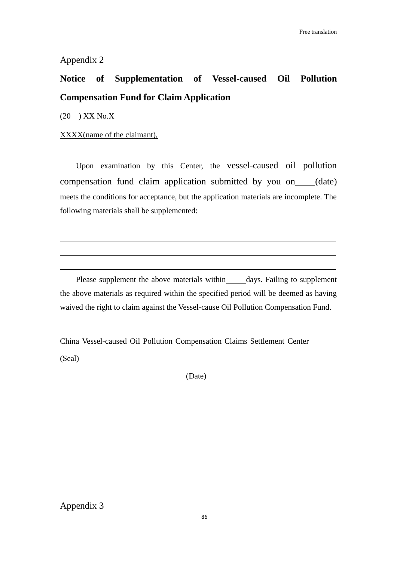Appendix 2

## **Notice of Supplementation of Vessel-caused Oil Pollution Compensation Fund for Claim Application**

(20 ) XX No.X

 $\overline{a}$ 

 $\overline{a}$ 

 $\overline{a}$ 

#### XXXX(name of the claimant),

Upon examination by this Center, the vessel-caused oil pollution compensation fund claim application submitted by you on (date) meets the conditions for acceptance, but the application materials are incomplete. The following materials shall be supplemented:

Please supplement the above materials within \_\_\_\_\_\_ days. Failing to supplement the above materials as required within the specified period will be deemed as having waived the right to claim against the Vessel-cause Oil Pollution Compensation Fund.

China Vessel-caused Oil Pollution Compensation Claims Settlement Center (Seal)

(Date)

Appendix 3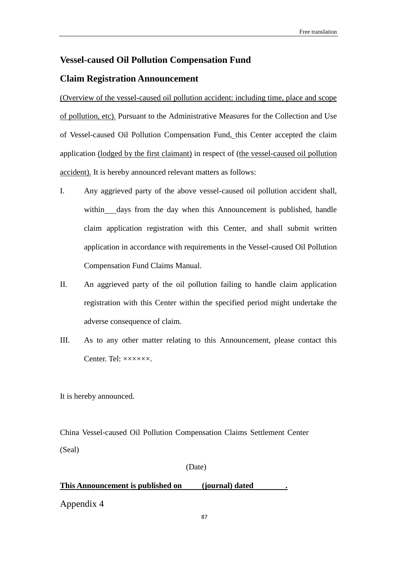# **Vessel-caused Oil Pollution Compensation Fund**

#### **Claim Registration Announcement**

(Overview of the vessel-caused oil pollution accident: including time, place and scope of pollution, etc). Pursuant to the Administrative Measures for the Collection and Use of Vessel-caused Oil Pollution Compensation Fund, this Center accepted the claim application (lodged by the first claimant) in respect of (the vessel-caused oil pollution accident). It is hereby announced relevant matters as follows:

- I. Any aggrieved party of the above vessel-caused oil pollution accident shall, within days from the day when this Announcement is published, handle claim application registration with this Center, and shall submit written application in accordance with requirements in the Vessel-caused Oil Pollution Compensation Fund Claims Manual.
- II. An aggrieved party of the oil pollution failing to handle claim application registration with this Center within the specified period might undertake the adverse consequence of claim.
- III. As to any other matter relating to this Announcement, please contact this Center. Tel:  $\times\times\times\times\times\times$ .

It is hereby announced.

China Vessel-caused Oil Pollution Compensation Claims Settlement Center (Seal)

(Date)

### **This Announcement is published on (journal) dated .** Appendix 4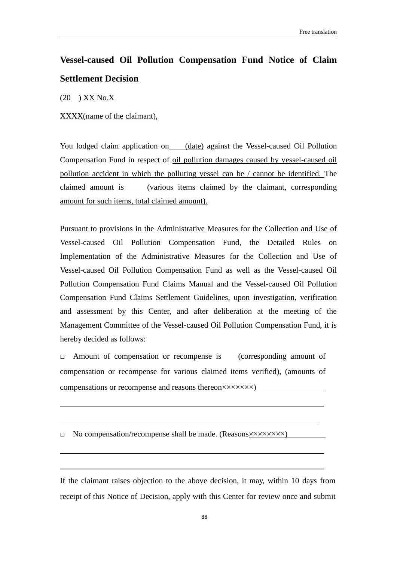### **Vessel-caused Oil Pollution Compensation Fund Notice of Claim Settlement Decision**

(20 ) XX No.X

 $\overline{a}$ 

 $\overline{a}$ 

 $\overline{a}$ 

 $\overline{a}$ 

#### XXXX(name of the claimant),

You lodged claim application on (date) against the Vessel-caused Oil Pollution Compensation Fund in respect of oil pollution damages caused by vessel-caused oil pollution accident in which the polluting vessel can be / cannot be identified. The claimed amount is (various items claimed by the claimant, corresponding amount for such items, total claimed amount).

Pursuant to provisions in the Administrative Measures for the Collection and Use of Vessel-caused Oil Pollution Compensation Fund, the Detailed Rules on Implementation of the Administrative Measures for the Collection and Use of Vessel-caused Oil Pollution Compensation Fund as well as the Vessel-caused Oil Pollution Compensation Fund Claims Manual and the Vessel-caused Oil Pollution Compensation Fund Claims Settlement Guidelines, upon investigation, verification and assessment by this Center, and after deliberation at the meeting of the Management Committee of the Vessel-caused Oil Pollution Compensation Fund, it is hereby decided as follows:

□ Amount of compensation or recompense is (corresponding amount of compensation or recompense for various claimed items verified), (amounts of compensations or recompense and reasons thereon×××××××)

□ No compensation/recompense shall be made. (Reasons××××××××××)

If the claimant raises objection to the above decision, it may, within 10 days from receipt of this Notice of Decision, apply with this Center for review once and submit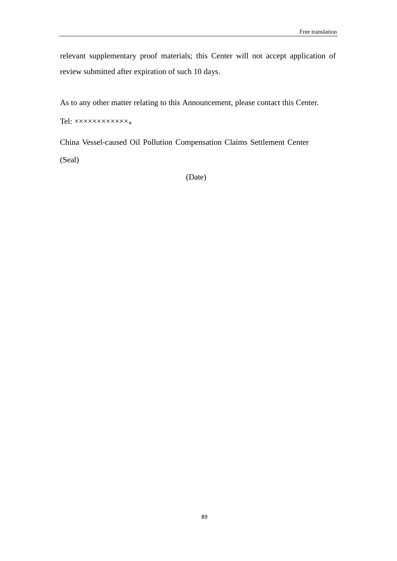relevant supplementary proof materials; this Center will not accept application of review submitted after expiration of such 10 days.

As to any other matter relating to this Announcement, please contact this Center.

Tel: xxxxxxxxxxx

China Vessel-caused Oil Pollution Compensation Claims Settlement Center

(Seal)

(Date)